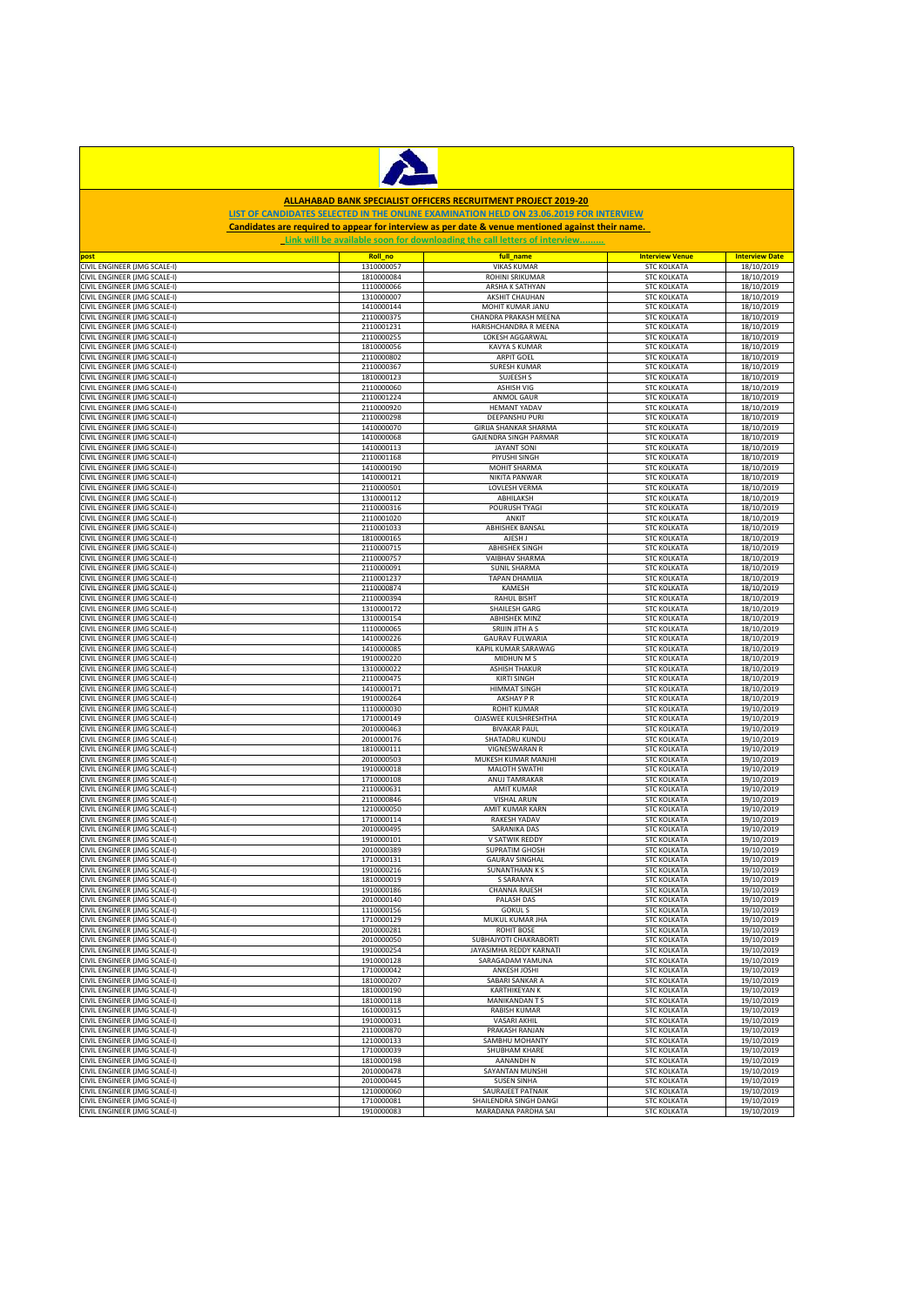

## **ALLAHABAD BANK SPECIALIST OFFICERS RECRUITMENT PROJECT 2019-20**

## **LIST OF CANDIDATES SELECTED IN THE ONLINE EXAMINATION HELD ON 23.06.2019 FOR INTERVIEW Candidates are required to appear for interview as per date & venue mentioned against their name.**

| Link will be available soon for downloading the call letters of interview |            |                              |                        |                       |  |
|---------------------------------------------------------------------------|------------|------------------------------|------------------------|-----------------------|--|
| post                                                                      | Roll_no    | full name                    | <b>Interview Venue</b> | <b>Interview Date</b> |  |
| CIVIL ENGINEER (JMG SCALE-I)                                              | 1310000057 | <b>VIKAS KUMAR</b>           | <b>STC KOLKATA</b>     | 18/10/2019            |  |
| CIVIL ENGINEER (JMG SCALE-I)                                              | 1810000084 | ROHINI SRIKUMAR              | <b>STC KOLKATA</b>     | 18/10/2019            |  |
| CIVIL ENGINEER (JMG SCALE-I)                                              | 1110000066 | ARSHA K SATHYAN              | <b>STC KOLKATA</b>     | 18/10/2019            |  |
| CIVIL ENGINEER (JMG SCALE-I)                                              | 1310000007 | AKSHIT CHAUHAN               | <b>STC KOLKATA</b>     | 18/10/2019            |  |
| CIVIL ENGINEER (JMG SCALE-I)                                              | 1410000144 | MOHIT KUMAR JANU             | <b>STC KOLKATA</b>     | 18/10/2019            |  |
| CIVIL ENGINEER (JMG SCALE-I)                                              | 2110000375 | CHANDRA PRAKASH MEENA        | <b>STC KOLKATA</b>     | 18/10/2019            |  |
| CIVIL ENGINEER (JMG SCALE-I)                                              | 2110001231 | <b>HARISHCHANDRA R MEENA</b> | <b>STC KOLKATA</b>     | 18/10/2019            |  |
| CIVIL ENGINEER (JMG SCALE-I)                                              | 2110000255 | LOKESH AGGARWAL              | <b>STC KOLKATA</b>     | 18/10/2019            |  |
| CIVIL ENGINEER (JMG SCALE-I)                                              | 1810000056 | KAVYA S KUMAR                | <b>STC KOLKATA</b>     | 18/10/2019            |  |
|                                                                           |            |                              |                        |                       |  |
| CIVIL ENGINEER (JMG SCALE-I)                                              | 2110000802 | <b>ARPIT GOEL</b>            | <b>STC KOLKATA</b>     | 18/10/2019            |  |
| CIVIL ENGINEER (JMG SCALE-I)                                              | 2110000367 | <b>SURESH KUMAR</b>          | <b>STC KOLKATA</b>     | 18/10/2019            |  |
| CIVIL ENGINEER (JMG SCALE-I)                                              | 1810000123 | SUJEESH S                    | <b>STC KOLKATA</b>     | 18/10/2019            |  |
| CIVIL ENGINEER (JMG SCALE-I)                                              | 2110000060 | <b>ASHISH VIG</b>            | <b>STC KOLKATA</b>     | 18/10/2019            |  |
| CIVIL ENGINEER (JMG SCALE-I)                                              | 2110001224 | ANMOL GAUR                   | <b>STC KOLKATA</b>     | 18/10/2019            |  |
| CIVIL ENGINEER (JMG SCALE-I)                                              | 2110000920 | <b>HEMANT YADAV</b>          | <b>STC KOLKATA</b>     | 18/10/2019            |  |
| CIVIL ENGINEER (JMG SCALE-I)                                              | 2110000298 | <b>DEEPANSHU PURI</b>        | <b>STC KOLKATA</b>     | 18/10/2019            |  |
| CIVIL ENGINEER (JMG SCALE-I)                                              | 1410000070 | GIRIJA SHANKAR SHARMA        | <b>STC KOLKATA</b>     | 18/10/2019            |  |
| CIVIL ENGINEER (JMG SCALE-I)                                              | 1410000068 | GAJENDRA SINGH PARMAR        | <b>STC KOLKATA</b>     | 18/10/2019            |  |
| CIVIL ENGINEER (JMG SCALE-I)                                              | 1410000113 | <b>JAYANT SONI</b>           | <b>STC KOLKATA</b>     | 18/10/2019            |  |
| CIVIL ENGINEER (JMG SCALE-I)                                              | 2110001168 | PIYUSHI SINGH                | <b>STC KOLKATA</b>     | 18/10/2019            |  |
| CIVIL ENGINEER (JMG SCALE-I)                                              | 1410000190 | MOHIT SHARMA                 | <b>STC KOLKATA</b>     | 18/10/2019            |  |
|                                                                           |            |                              |                        |                       |  |
| CIVIL ENGINEER (JMG SCALE-I)                                              | 1410000121 | NIKITA PANWAR                | <b>STC KOLKATA</b>     | 18/10/2019            |  |
| CIVIL ENGINEER (JMG SCALE-I)                                              | 2110000501 | LOVLESH VERMA                | <b>STC KOLKATA</b>     | 18/10/2019            |  |
| CIVIL ENGINEER (JMG SCALE-I)                                              | 1310000112 | ABHILAKSH                    | <b>STC KOLKATA</b>     | 18/10/2019            |  |
| CIVIL ENGINEER (JMG SCALE-I)                                              | 2110000316 | POURUSH TYAGI                | <b>STC KOLKATA</b>     | 18/10/2019            |  |
| CIVIL ENGINEER (JMG SCALE-I)                                              | 2110001020 | ANKIT                        | <b>STC KOLKATA</b>     | 18/10/2019            |  |
| CIVIL ENGINEER (JMG SCALE-I)                                              | 2110001033 | ABHISHEK BANSAL              | <b>STC KOLKATA</b>     | 18/10/2019            |  |
| CIVIL ENGINEER (JMG SCALE-I)                                              | 1810000165 | AJESH J                      | <b>STC KOLKATA</b>     | 18/10/2019            |  |
| CIVIL ENGINEER (JMG SCALE-I)                                              | 2110000715 | <b>ABHISHEK SINGH</b>        | <b>STC KOLKATA</b>     | 18/10/2019            |  |
|                                                                           |            |                              | <b>STC KOLKATA</b>     | 18/10/2019            |  |
| CIVIL ENGINEER (JMG SCALE-I)                                              | 2110000757 | <b>VAIBHAV SHARMA</b>        |                        |                       |  |
| CIVIL ENGINEER (JMG SCALE-I)                                              | 2110000091 | <b>SUNIL SHARMA</b>          | <b>STC KOLKATA</b>     | 18/10/2019            |  |
| CIVIL ENGINEER (JMG SCALE-I)                                              | 2110001237 | <b>TAPAN DHAMIJA</b>         | <b>STC KOLKATA</b>     | 18/10/2019            |  |
| CIVIL ENGINEER (JMG SCALE-I)                                              | 2110000874 | KAMESH                       | <b>STC KOLKATA</b>     | 18/10/2019            |  |
| CIVIL ENGINEER (JMG SCALE-I)                                              | 2110000394 | <b>RAHUL BISHT</b>           | <b>STC KOLKATA</b>     | 18/10/2019            |  |
| CIVIL ENGINEER (JMG SCALE-I)                                              | 1310000172 | <b>SHAILESH GARG</b>         | <b>STC KOLKATA</b>     | 18/10/2019            |  |
| CIVIL ENGINEER (JMG SCALE-I)                                              | 1310000154 | <b>ABHISHEK MINZ</b>         | <b>STC KOLKATA</b>     | 18/10/2019            |  |
| CIVIL ENGINEER (JMG SCALE-I)                                              | 1110000065 | SRIJIN JITH A S              | <b>STC KOLKATA</b>     | 18/10/2019            |  |
| CIVIL ENGINEER (JMG SCALE-I)                                              | 1410000226 | <b>GAURAV FULWARIA</b>       | <b>STC KOLKATA</b>     | 18/10/2019            |  |
| CIVIL ENGINEER (JMG SCALE-I)                                              | 1410000085 | KAPIL KUMAR SARAWAG          | <b>STC KOLKATA</b>     | 18/10/2019            |  |
|                                                                           |            |                              |                        |                       |  |
| CIVIL ENGINEER (JMG SCALE-I)                                              | 1910000220 | MIDHUN M S                   | <b>STC KOLKATA</b>     | 18/10/2019            |  |
| CIVIL ENGINEER (JMG SCALE-I)                                              | 1310000022 | <b>ASHISH THAKUR</b>         | <b>STC KOLKATA</b>     | 18/10/2019            |  |
| CIVIL ENGINEER (JMG SCALE-I)                                              | 2110000475 | <b>KIRTI SINGH</b>           | <b>STC KOLKATA</b>     | 18/10/2019            |  |
| CIVIL ENGINEER (JMG SCALE-I)                                              | 1410000171 | <b>HIMMAT SINGH</b>          | <b>STC KOLKATA</b>     | 18/10/2019            |  |
| CIVIL ENGINEER (JMG SCALE-I)                                              | 1910000264 | <b>AKSHAY P R</b>            | <b>STC KOLKATA</b>     | 18/10/2019            |  |
| CIVIL ENGINEER (JMG SCALE-I)                                              | 1110000030 | <b>ROHIT KUMAR</b>           | <b>STC KOLKATA</b>     | 19/10/2019            |  |
| CIVIL ENGINEER (JMG SCALE-I)                                              | 1710000149 | OJASWEE KULSHRESHTHA         | <b>STC KOLKATA</b>     | 19/10/2019            |  |
| CIVIL ENGINEER (JMG SCALE-I)                                              | 2010000463 | <b>BIVAKAR PAUL</b>          | <b>STC KOLKATA</b>     | 19/10/2019            |  |
| CIVIL ENGINEER (JMG SCALE-I)                                              | 2010000176 | SHATADRU KUNDU               | <b>STC KOLKATA</b>     | 19/10/2019            |  |
| CIVIL ENGINEER (JMG SCALE-I)                                              | 1810000111 | VIGNESWARAN R                | <b>STC KOLKATA</b>     | 19/10/2019            |  |
|                                                                           | 2010000503 | MUKESH KUMAR MANJHI          | <b>STC KOLKATA</b>     |                       |  |
| CIVIL ENGINEER (JMG SCALE-I)                                              |            |                              |                        | 19/10/2019            |  |
| CIVIL ENGINEER (JMG SCALE-I)                                              | 1910000018 | MALOTH SWATHI                | <b>STC KOLKATA</b>     | 19/10/2019            |  |
| CIVIL ENGINEER (JMG SCALE-I)                                              | 1710000108 | ANUJ TAMRAKAR                | <b>STC KOLKATA</b>     | 19/10/2019            |  |
| CIVIL ENGINEER (JMG SCALE-I)                                              | 2110000631 | <b>AMIT KUMAR</b>            | <b>STC KOLKATA</b>     | 19/10/2019            |  |
| CIVIL ENGINEER (JMG SCALE-I)                                              | 2110000846 | VISHAL ARUN                  | <b>STC KOLKATA</b>     | 19/10/2019            |  |
| CIVIL ENGINEER (JMG SCALE-I)                                              | 1210000050 | AMIT KUMAR KARN              | <b>STC KOLKATA</b>     | 19/10/2019            |  |
| CIVIL ENGINEER (JMG SCALE-I)                                              | 1710000114 | <b>RAKESH YADAV</b>          | <b>STC KOLKATA</b>     | 19/10/2019            |  |
| CIVIL ENGINEER (JMG SCALE-I)                                              | 2010000495 | <b>SARANIKA DAS</b>          | <b>STC KOLKATA</b>     | 19/10/2019            |  |
| CIVIL ENGINEER (JMG SCALE-I)                                              | 1910000101 | V SATWIK REDDY               | <b>STC KOLKATA</b>     | 19/10/2019            |  |
| CIVIL ENGINEER (JMG SCALE-I)                                              | 2010000389 | SUPRATIM GHOSH               | <b>STC KOLKATA</b>     | 19/10/2019            |  |
| CIVIL ENGINEER (JMG SCALE-I)                                              | 1710000131 | <b>GAURAV SINGHAL</b>        | <b>STC KOLKATA</b>     | 19/10/2019            |  |
|                                                                           |            |                              |                        |                       |  |
| CIVIL ENGINEER (JMG SCALE-I)                                              | 1910000216 | <b>SUNANTHAAN K S</b>        | <b>STC KOLKATA</b>     | 19/10/2019            |  |
| CIVIL ENGINEER (JMG SCALE-I)                                              | 1810000019 | S SARANYA                    | <b>STC KOLKATA</b>     | 19/10/2019            |  |
| CIVIL ENGINEER (JMG SCALE-I)                                              | 1910000186 | <b>CHANNA RAJESH</b>         | <b>STC KOLKATA</b>     | 19/10/2019            |  |
| CIVIL ENGINEER (JMG SCALE-I)                                              | 2010000140 | PALASH DAS                   | <b>STC KOLKATA</b>     | 19/10/2019            |  |
| CIVIL ENGINEER (JMG SCALE-I)                                              | 1110000156 | <b>GOKULS</b>                | <b>STC KOLKATA</b>     | 19/10/2019            |  |
| CIVIL ENGINEER (JMG SCALE-I)                                              | 1710000129 | MUKUL KUMAR JHA              | <b>STC KOLKATA</b>     | 19/10/2019            |  |
| CIVIL ENGINEER (JMG SCALE-I)                                              | 2010000281 | <b>ROHIT BOSE</b>            | <b>STC KOLKATA</b>     | 19/10/2019            |  |
| CIVIL ENGINEER (JMG SCALE-I)                                              | 2010000050 | SUBHAJYOTI CHAKRABORTI       | <b>STC KOLKATA</b>     | 19/10/2019            |  |
| CIVIL ENGINEER (JMG SCALE-I)                                              | 1910000254 | JAYASIMHA REDDY KARNATI      | <b>STC KOLKATA</b>     | 19/10/2019            |  |
| CIVIL ENGINEER (JMG SCALE-I)                                              | 1910000128 | SARAGADAM YAMUNA             | <b>STC KOLKATA</b>     | 19/10/2019            |  |
| CIVIL ENGINEER (JMG SCALE-I)                                              | 1710000042 | ANKESH JOSHI                 | <b>STC KOLKATA</b>     | 19/10/2019            |  |
|                                                                           |            |                              |                        |                       |  |
| CIVIL ENGINEER (JMG SCALE-I)                                              | 1810000207 | SABARI SANKAR A              | <b>STC KOLKATA</b>     | 19/10/2019            |  |
| CIVIL ENGINEER (JMG SCALE-I)                                              | 1810000190 | <b>KARTHIKEYAN K</b>         | <b>STC KOLKATA</b>     | 19/10/2019            |  |
| CIVIL ENGINEER (JMG SCALE-I)                                              | 1810000118 | MANIKANDAN T S               | <b>STC KOLKATA</b>     | 19/10/2019            |  |
| CIVIL ENGINEER (JMG SCALE-I)                                              | 1610000315 | <b>RABISH KUMAR</b>          | <b>STC KOLKATA</b>     | 19/10/2019            |  |
| CIVIL ENGINEER (JMG SCALE-I)                                              | 1910000031 | <b>VASARI AKHIL</b>          | <b>STC KOLKATA</b>     | 19/10/2019            |  |
| CIVIL ENGINEER (JMG SCALE-I)                                              | 2110000870 | PRAKASH RANJAN               | <b>STC KOLKATA</b>     | 19/10/2019            |  |
| CIVIL ENGINEER (JMG SCALE-I)                                              | 1210000133 | SAMBHU MOHANTY               | <b>STC KOLKATA</b>     | 19/10/2019            |  |
| CIVIL ENGINEER (JMG SCALE-I)                                              | 1710000039 | SHUBHAM KHARE                | <b>STC KOLKATA</b>     | 19/10/2019            |  |
|                                                                           |            |                              |                        |                       |  |
| CIVIL ENGINEER (JMG SCALE-I)                                              | 1810000198 | AANANDH N                    | <b>STC KOLKATA</b>     | 19/10/2019            |  |
| CIVIL ENGINEER (JMG SCALE-I)                                              | 2010000478 | SAYANTAN MUNSHI              | <b>STC KOLKATA</b>     | 19/10/2019            |  |
| CIVIL ENGINEER (JMG SCALE-I)                                              | 2010000445 | <b>SUSEN SINHA</b>           | <b>STC KOLKATA</b>     | 19/10/2019            |  |
| CIVIL ENGINEER (JMG SCALE-I)                                              | 1210000060 | SAURAJEET PATNAIK            | <b>STC KOLKATA</b>     | 19/10/2019            |  |
| CIVIL ENGINEER (JMG SCALE-I)                                              | 1710000081 | SHAILENDRA SINGH DANGI       | <b>STC KOLKATA</b>     | 19/10/2019            |  |
| CIVIL ENGINEER (JMG SCALE-I)                                              | 1910000083 | MARADANA PARDHA SAI          | <b>STC KOLKATA</b>     | 19/10/2019            |  |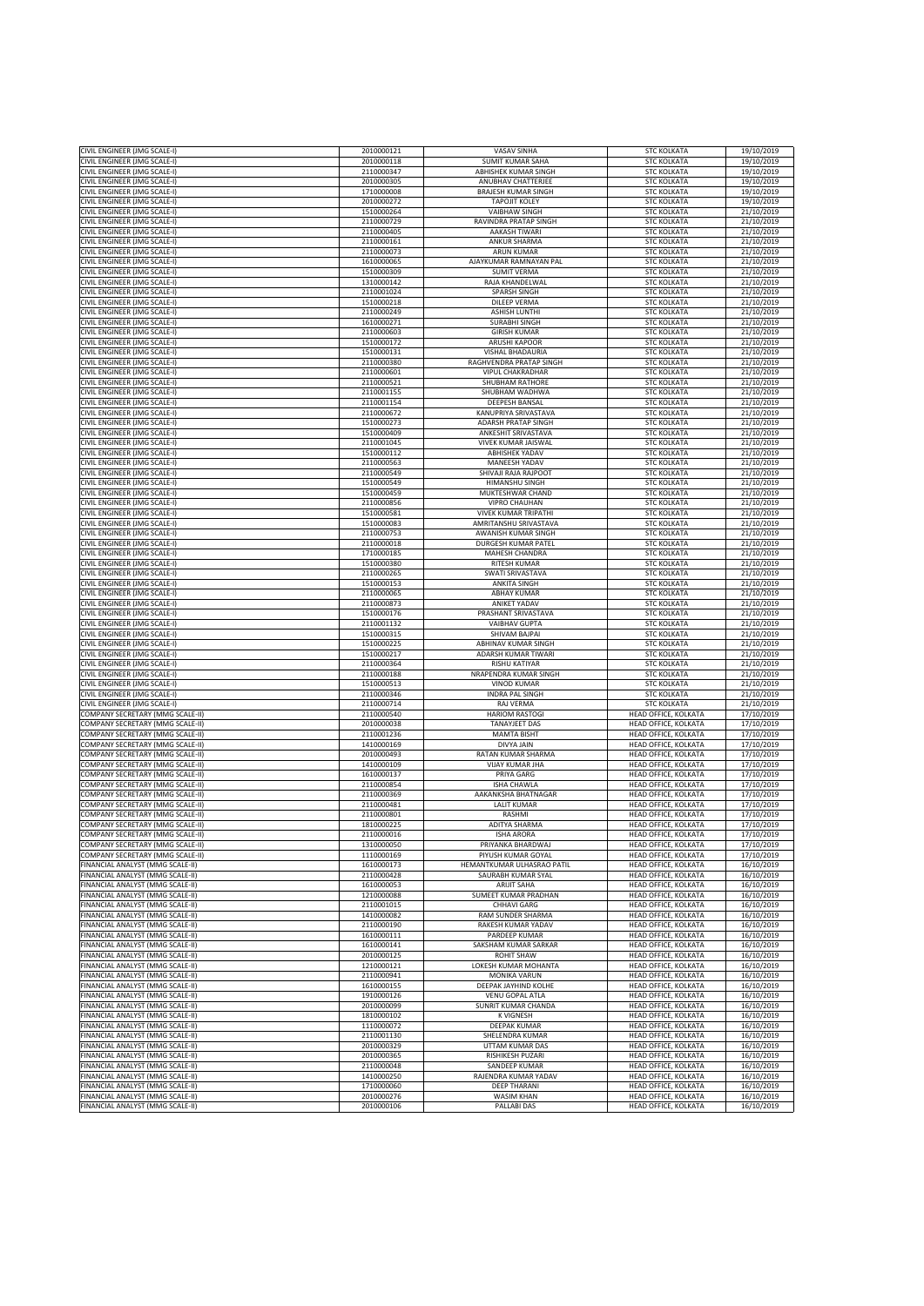| CIVIL ENGINEER (JMG SCALE-I)     | 2010000121 | VASAV SINHA                  | <b>STC KOLKATA</b>          | 19/10/2019 |
|----------------------------------|------------|------------------------------|-----------------------------|------------|
|                                  |            |                              |                             |            |
| CIVIL ENGINEER (JMG SCALE-I)     | 2010000118 | <b>SUMIT KUMAR SAHA</b>      | <b>STC KOLKATA</b>          | 19/10/2019 |
| CIVIL ENGINEER (JMG SCALE-I)     | 2110000347 | ABHISHEK KUMAR SINGH         | <b>STC KOLKATA</b>          | 19/10/2019 |
| CIVIL ENGINEER (JMG SCALE-I)     | 2010000305 | ANUBHAV CHATTERJEE           | <b>STC KOLKATA</b>          | 19/10/2019 |
| CIVIL ENGINEER (JMG SCALE-I)     | 1710000008 | <b>BRAJESH KUMAR SINGH</b>   | <b>STC KOLKATA</b>          | 19/10/2019 |
| CIVIL ENGINEER (JMG SCALE-I)     | 2010000272 | <b>TAPOJIT KOLEY</b>         | <b>STC KOLKATA</b>          | 19/10/2019 |
| CIVIL ENGINEER (JMG SCALE-I)     | 1510000264 | <b>VAIBHAW SINGH</b>         | <b>STC KOLKATA</b>          | 21/10/2019 |
|                                  | 2110000729 | <b>RAVINDRA PRATAP SINGH</b> |                             |            |
| CIVIL ENGINEER (JMG SCALE-I)     |            |                              | <b>STC KOLKATA</b>          | 21/10/2019 |
| CIVIL ENGINEER (JMG SCALE-I)     | 2110000405 | AAKASH TIWARI                | <b>STC KOLKATA</b>          | 21/10/2019 |
| CIVIL ENGINEER (JMG SCALE-I)     | 2110000161 | <b>ANKUR SHARMA</b>          | <b>STC KOLKATA</b>          | 21/10/2019 |
| CIVIL ENGINEER (JMG SCALE-I)     | 2110000073 | <b>ARUN KUMAR</b>            | <b>STC KOLKATA</b>          | 21/10/2019 |
| CIVIL ENGINEER (JMG SCALE-I)     | 1610000065 | AJAYKUMAR RAMNAYAN PAL       | <b>STC KOLKATA</b>          | 21/10/2019 |
| CIVIL ENGINEER (JMG SCALE-I)     | 1510000309 | <b>SUMIT VERMA</b>           | <b>STC KOLKATA</b>          | 21/10/2019 |
| CIVIL ENGINEER (JMG SCALE-I)     | 1310000142 | RAJA KHANDELWAL              | <b>STC KOLKATA</b>          | 21/10/2019 |
| CIVIL ENGINEER (JMG SCALE-I)     | 2110001024 | SPARSH SINGH                 | <b>STC KOLKATA</b>          | 21/10/2019 |
|                                  |            |                              |                             |            |
| CIVIL ENGINEER (JMG SCALE-I)     | 1510000218 | <b>DILEEP VERMA</b>          | <b>STC KOLKATA</b>          | 21/10/2019 |
| CIVIL ENGINEER (JMG SCALE-I)     | 2110000249 | <b>ASHISH LUNTHI</b>         | <b>STC KOLKATA</b>          | 21/10/2019 |
| CIVIL ENGINEER (JMG SCALE-I)     | 1610000271 | <b>SURABHI SINGH</b>         | <b>STC KOLKATA</b>          | 21/10/2019 |
| CIVIL ENGINEER (JMG SCALE-I)     | 2110000603 | <b>GIRISH KUMAR</b>          | <b>STC KOLKATA</b>          | 21/10/2019 |
| CIVIL ENGINEER (JMG SCALE-I)     | 1510000172 | ARUSHI KAPOOR                | <b>STC KOLKATA</b>          | 21/10/2019 |
| CIVIL ENGINEER (JMG SCALE-I)     | 1510000131 | VISHAL BHADAURIA             | <b>STC KOLKATA</b>          | 21/10/2019 |
| CIVIL ENGINEER (JMG SCALE-I)     | 2110000380 | RAGHVENDRA PRATAP SINGH      | <b>STC KOLKATA</b>          | 21/10/2019 |
|                                  |            |                              |                             |            |
| CIVIL ENGINEER (JMG SCALE-I)     | 2110000601 | VIPUL CHAKRADHAR             | <b>STC KOLKATA</b>          | 21/10/2019 |
| CIVIL ENGINEER (JMG SCALE-I)     | 2110000521 | SHUBHAM RATHORE              | <b>STC KOLKATA</b>          | 21/10/2019 |
| CIVIL ENGINEER (JMG SCALE-I)     | 2110001155 | SHUBHAM WADHWA               | <b>STC KOLKATA</b>          | 21/10/2019 |
| CIVIL ENGINEER (JMG SCALE-I)     | 2110001154 | DEEPESH BANSAL               | <b>STC KOLKATA</b>          | 21/10/2019 |
| CIVIL ENGINEER (JMG SCALE-I)     | 2110000672 | KANUPRIYA SRIVASTAVA         | <b>STC KOLKATA</b>          | 21/10/2019 |
| CIVIL ENGINEER (JMG SCALE-I)     | 1510000273 | ADARSH PRATAP SINGH          | <b>STC KOLKATA</b>          | 21/10/2019 |
| CIVIL ENGINEER (JMG SCALE-I)     | 1510000409 | ANKESHIT SRIVASTAVA          | <b>STC KOLKATA</b>          | 21/10/2019 |
| CIVIL ENGINEER (JMG SCALE-I)     | 2110001045 | VIVEK KUMAR JAISWAL          | <b>STC KOLKATA</b>          | 21/10/2019 |
|                                  |            |                              |                             |            |
| CIVIL ENGINEER (JMG SCALE-I)     | 1510000112 | <b>ABHISHEK YADAV</b>        | <b>STC KOLKATA</b>          | 21/10/2019 |
| CIVIL ENGINEER (JMG SCALE-I)     | 2110000563 | MANEESH YADAV                | <b>STC KOLKATA</b>          | 21/10/2019 |
| CIVIL ENGINEER (JMG SCALE-I)     | 2110000549 | SHIVAJI RAJA RAJPOOT         | <b>STC KOLKATA</b>          | 21/10/2019 |
| CIVIL ENGINEER (JMG SCALE-I)     | 1510000549 | HIMANSHU SINGH               | <b>STC KOLKATA</b>          | 21/10/2019 |
| CIVIL ENGINEER (JMG SCALE-I)     | 1510000459 | MUKTESHWAR CHAND             | <b>STC KOLKATA</b>          | 21/10/2019 |
| CIVIL ENGINEER (JMG SCALE-I)     | 2110000856 | <b>VIPRO CHAUHAN</b>         | <b>STC KOLKATA</b>          | 21/10/2019 |
| CIVIL ENGINEER (JMG SCALE-I)     | 1510000581 | <b>VIVEK KUMAR TRIPATHI</b>  | <b>STC KOLKATA</b>          | 21/10/2019 |
| CIVIL ENGINEER (JMG SCALE-I)     | 1510000083 | AMRITANSHU SRIVASTAVA        | <b>STC KOLKATA</b>          | 21/10/2019 |
|                                  |            |                              |                             |            |
| CIVIL ENGINEER (JMG SCALE-I)     | 2110000753 | AWANISH KUMAR SINGH          | <b>STC KOLKATA</b>          | 21/10/2019 |
| CIVIL ENGINEER (JMG SCALE-I)     | 2110000018 | DURGESH KUMAR PATEL          | <b>STC KOLKATA</b>          | 21/10/2019 |
| CIVIL ENGINEER (JMG SCALE-I)     | 1710000185 | MAHESH CHANDRA               | <b>STC KOLKATA</b>          | 21/10/2019 |
| CIVIL ENGINEER (JMG SCALE-I)     | 1510000380 | <b>RITESH KUMAR</b>          | <b>STC KOLKATA</b>          | 21/10/2019 |
| CIVIL ENGINEER (JMG SCALE-I)     | 2110000265 | <b>SWATI SRIVASTAVA</b>      | <b>STC KOLKATA</b>          | 21/10/2019 |
| CIVIL ENGINEER (JMG SCALE-I)     | 1510000153 | <b>ANKITA SINGH</b>          | <b>STC KOLKATA</b>          | 21/10/2019 |
| CIVIL ENGINEER (JMG SCALE-I)     | 2110000065 | <b>ABHAY KUMAR</b>           | <b>STC KOLKATA</b>          | 21/10/2019 |
| CIVIL ENGINEER (JMG SCALE-I)     | 2110000873 | <b>ANIKET YADAV</b>          | <b>STC KOLKATA</b>          | 21/10/2019 |
|                                  | 1510000176 | PRASHANT SRIVASTAVA          | <b>STC KOLKATA</b>          | 21/10/2019 |
| CIVIL ENGINEER (JMG SCALE-I)     |            |                              |                             |            |
| CIVIL ENGINEER (JMG SCALE-I)     | 2110001132 | <b>VAIBHAV GUPTA</b>         | <b>STC KOLKATA</b>          | 21/10/2019 |
| CIVIL ENGINEER (JMG SCALE-I)     | 1510000315 | <b>SHIVAM BAJPAI</b>         | <b>STC KOLKATA</b>          | 21/10/2019 |
| CIVIL ENGINEER (JMG SCALE-I)     | 1510000225 | ABHINAV KUMAR SINGH          | <b>STC KOLKATA</b>          | 21/10/2019 |
| CIVIL ENGINEER (JMG SCALE-I)     | 1510000217 | ADARSH KUMAR TIWARI          | <b>STC KOLKATA</b>          | 21/10/2019 |
| CIVIL ENGINEER (JMG SCALE-I)     | 2110000364 | <b>RISHU KATIYAR</b>         | <b>STC KOLKATA</b>          | 21/10/2019 |
| CIVIL ENGINEER (JMG SCALE-I)     | 2110000188 | NRAPENDRA KUMAR SINGH        | <b>STC KOLKATA</b>          | 21/10/2019 |
| CIVIL ENGINEER (JMG SCALE-I)     | 1510000513 | <b>VINOD KUMAR</b>           | <b>STC KOLKATA</b>          | 21/10/2019 |
|                                  | 2110000346 |                              |                             |            |
| CIVIL ENGINEER (JMG SCALE-I)     |            | <b>INDRA PAL SINGH</b>       | <b>STC KOLKATA</b>          | 21/10/2019 |
| CIVIL ENGINEER (JMG SCALE-I)     | 2110000714 | RAJ VERMA                    | <b>STC KOLKATA</b>          | 21/10/2019 |
| COMPANY SECRETARY (MMG SCALE-II) | 2110000540 | <b>HARIOM RASTOGI</b>        | HEAD OFFICE, KOLKATA        | 17/10/2019 |
| COMPANY SECRETARY (MMG SCALE-II) | 2010000038 | <b>TANAYJEET DAS</b>         | HEAD OFFICE, KOLKATA        | 17/10/2019 |
| COMPANY SECRETARY (MMG SCALE-II) | 2110001236 | <b>MAMTA BISHT</b>           | HEAD OFFICE, KOLKATA        | 17/10/2019 |
| COMPANY SECRETARY (MMG SCALE-II) | 1410000169 | DIVYA JAIN                   | HEAD OFFICE, KOLKATA        | 17/10/2019 |
| COMPANY SECRETARY (MMG SCALE-II) | 2010000493 | RATAN KUMAR SHARMA           | HEAD OFFICE, KOLKATA        | 17/10/2019 |
| COMPANY SECRETARY (MMG SCALE-II) | 1410000109 | VIJAY KUMAR JHA              | HEAD OFFICE, KOLKATA        | 17/10/2019 |
| COMPANY SECRETARY (MMG SCALE-II) | 1610000137 | PRIYA GARG                   | HEAD OFFICE, KOLKATA        | 17/10/2019 |
|                                  |            |                              |                             |            |
| COMPANY SECRETARY (MMG SCALE-II) | 2110000854 | <b>ISHA CHAWLA</b>           | HEAD OFFICE, KOLKATA        | 17/10/2019 |
| COMPANY SECRETARY (MMG SCALE-II) | 2110000369 | AAKANKSHA BHATNAGAR          | HEAD OFFICE, KOLKATA        | 17/10/2019 |
| COMPANY SECRETARY (MMG SCALE-II) | 2110000481 | <b>LALIT KUMAR</b>           | HEAD OFFICE, KOLKATA        | 17/10/2019 |
| COMPANY SECRETARY (MMG SCALE-II) | 2110000801 | RASHMI                       | HEAD OFFICE, KOLKATA        | 17/10/2019 |
| COMPANY SECRETARY (MMG SCALE-II) | 1810000225 | ADITYA SHARMA                | <b>HEAD OFFICE, KOLKATA</b> | 17/10/2019 |
| COMPANY SECRETARY (MMG SCALE-II) | 2110000016 | <b>ISHA ARORA</b>            | HEAD OFFICE, KOLKATA        | 17/10/2019 |
| COMPANY SECRETARY (MMG SCALE-II) | 1310000050 | PRIYANKA BHARDWAJ            | HEAD OFFICE, KOLKATA        | 17/10/2019 |
| COMPANY SECRETARY (MMG SCALE-II) | 1110000169 | PIYUSH KUMAR GOYAL           | HEAD OFFICE, KOLKATA        | 17/10/2019 |
| FINANCIAL ANALYST (MMG SCALE-II) | 1610000173 | HEMANTKUMAR ULHASRAO PATIL   | HEAD OFFICE, KOLKATA        | 16/10/2019 |
| FINANCIAL ANALYST (MMG SCALE-II) | 2110000428 | SAURABH KUMAR SYAL           | HEAD OFFICE, KOLKATA        | 16/10/2019 |
| FINANCIAL ANALYST (MMG SCALE-II) | 1610000053 | <b>ARIJIT SAHA</b>           | <b>HEAD OFFICE, KOLKATA</b> |            |
|                                  |            |                              |                             | 16/10/2019 |
| FINANCIAL ANALYST (MMG SCALE-II) | 1210000088 | SUMEET KUMAR PRADHAN         | HEAD OFFICE, KOLKATA        | 16/10/2019 |
| FINANCIAL ANALYST (MMG SCALE-II) | 2110001015 | <b>CHHAVI GARG</b>           | HEAD OFFICE, KOLKATA        | 16/10/2019 |
| FINANCIAL ANALYST (MMG SCALE-II) | 1410000082 | RAM SUNDER SHARMA            | HEAD OFFICE, KOLKATA        | 16/10/2019 |
| FINANCIAL ANALYST (MMG SCALE-II) | 2110000190 | RAKESH KUMAR YADAV           | HEAD OFFICE, KOLKATA        | 16/10/2019 |
| FINANCIAL ANALYST (MMG SCALE-II) | 1610000111 | PARDEEP KUMAR                | HEAD OFFICE, KOLKATA        | 16/10/2019 |
| FINANCIAL ANALYST (MMG SCALE-II) | 1610000141 | SAKSHAM KUMAR SARKAR         | HEAD OFFICE, KOLKATA        | 16/10/2019 |
| FINANCIAL ANALYST (MMG SCALE-II) | 2010000125 | <b>ROHIT SHAW</b>            | HEAD OFFICE, KOLKATA        | 16/10/2019 |
| FINANCIAL ANALYST (MMG SCALE-II) | 1210000121 | LOKESH KUMAR MOHANTA         | HEAD OFFICE, KOLKATA        | 16/10/2019 |
|                                  |            |                              |                             |            |
| FINANCIAL ANALYST (MMG SCALE-II) | 2110000941 | MONIKA VARUN                 | HEAD OFFICE, KOLKATA        | 16/10/2019 |
| FINANCIAL ANALYST (MMG SCALE-II) |            | DEEPAK JAYHIND KOLHE         | HEAD OFFICE, KOLKATA        | 16/10/2019 |
| FINANCIAL ANALYST (MMG SCALE-II) | 1610000155 |                              |                             |            |
|                                  | 1910000126 | VENU GOPAL ATLA              | HEAD OFFICE, KOLKATA        | 16/10/2019 |
| FINANCIAL ANALYST (MMG SCALE-II) | 2010000099 | SUNRIT KUMAR CHANDA          | HEAD OFFICE, KOLKATA        | 16/10/2019 |
| FINANCIAL ANALYST (MMG SCALE-II) | 1810000102 | <b>K VIGNESH</b>             | HEAD OFFICE, KOLKATA        | 16/10/2019 |
|                                  | 1110000072 |                              |                             |            |
| FINANCIAL ANALYST (MMG SCALE-II) |            | DEEPAK KUMAR                 | HEAD OFFICE, KOLKATA        | 16/10/2019 |
| FINANCIAL ANALYST (MMG SCALE-II) | 2110001130 | SHELENDRA KUMAR              | HEAD OFFICE, KOLKATA        | 16/10/2019 |
| FINANCIAL ANALYST (MMG SCALE-II) | 2010000329 | UTTAM KUMAR DAS              | HEAD OFFICE, KOLKATA        | 16/10/2019 |
| FINANCIAL ANALYST (MMG SCALE-II) | 2010000365 | RISHIKESH PUZARI             | HEAD OFFICE, KOLKATA        | 16/10/2019 |
| FINANCIAL ANALYST (MMG SCALE-II) | 2110000048 | SANDEEP KUMAR                | HEAD OFFICE, KOLKATA        | 16/10/2019 |
| FINANCIAL ANALYST (MMG SCALE-II) | 1410000250 | RAJENDRA KUMAR YADAV         | HEAD OFFICE, KOLKATA        | 16/10/2019 |
| FINANCIAL ANALYST (MMG SCALE-II) | 1710000060 | <b>DEEP THARANI</b>          | HEAD OFFICE, KOLKATA        | 16/10/2019 |
| FINANCIAL ANALYST (MMG SCALE-II) | 2010000276 | WASIM KHAN                   | HEAD OFFICE, KOLKATA        | 16/10/2019 |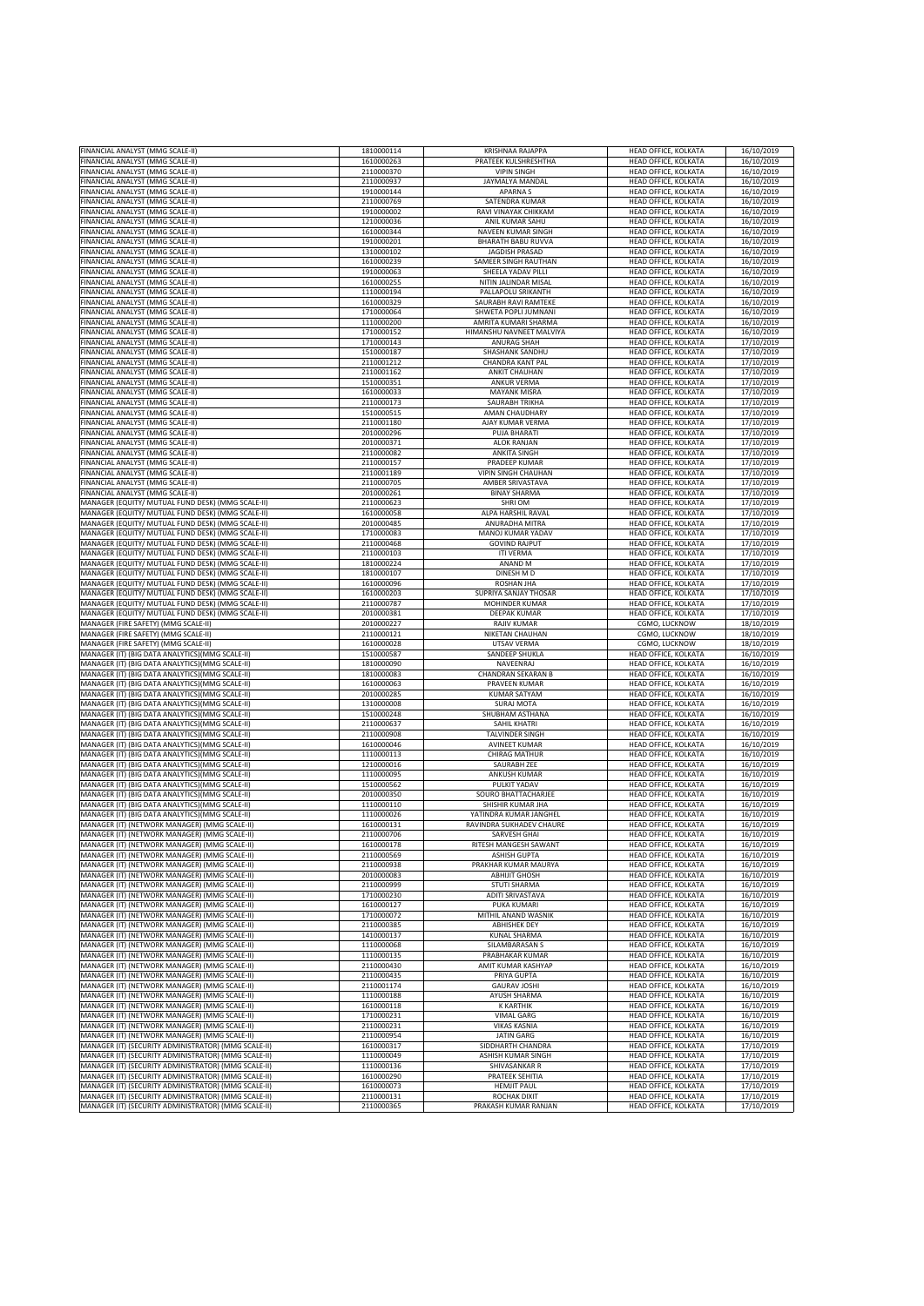| FINANCIAL ANALYST (MMG SCALE-II)                     | 1810000114 | <b>KRISHNAA RAJAPPA</b>    | HEAD OFFICE, KOLKATA        | 16/10/2019 |
|------------------------------------------------------|------------|----------------------------|-----------------------------|------------|
|                                                      |            | PRATEEK KULSHRESHTHA       | HEAD OFFICE, KOLKATA        |            |
| FINANCIAL ANALYST (MMG SCALE-II)                     | 1610000263 |                            |                             | 16/10/2019 |
| FINANCIAL ANALYST (MMG SCALE-II)                     | 2110000370 | <b>VIPIN SINGH</b>         | HEAD OFFICE, KOLKATA        | 16/10/2019 |
| FINANCIAL ANALYST (MMG SCALE-II)                     | 2110000937 | JAYMALYA MANDAL            | HEAD OFFICE, KOLKATA        | 16/10/2019 |
| FINANCIAL ANALYST (MMG SCALE-II)                     | 1910000144 | <b>APARNAS</b>             | HEAD OFFICE, KOLKATA        | 16/10/2019 |
| FINANCIAL ANALYST (MMG SCALE-II)                     | 2110000769 | SATENDRA KUMAR             | HEAD OFFICE, KOLKATA        | 16/10/2019 |
| FINANCIAL ANALYST (MMG SCALE-II)                     | 1910000002 | RAVI VINAYAK CHIKKAM       | HEAD OFFICE, KOLKATA        | 16/10/2019 |
| FINANCIAL ANALYST (MMG SCALE-II)                     | 1210000036 | ANIL KUMAR SAHU            | HEAD OFFICE, KOLKATA        | 16/10/2019 |
| FINANCIAL ANALYST (MMG SCALE-II)                     | 1610000344 | NAVEEN KUMAR SINGH         | HEAD OFFICE, KOLKATA        | 16/10/2019 |
| FINANCIAL ANALYST (MMG SCALE-II)                     | 1910000201 | <b>BHARATH BABU RUVVA</b>  | HEAD OFFICE, KOLKATA        | 16/10/2019 |
|                                                      |            |                            |                             |            |
| FINANCIAL ANALYST (MMG SCALE-II)                     | 1310000102 | <b>JAGDISH PRASAD</b>      | HEAD OFFICE, KOLKATA        | 16/10/2019 |
| FINANCIAL ANALYST (MMG SCALE-II)                     | 1610000239 | SAMEER SINGH RAUTHAN       | HEAD OFFICE, KOLKATA        | 16/10/2019 |
| FINANCIAL ANALYST (MMG SCALE-II)                     | 1910000063 | SHEELA YADAV PILLI         | HEAD OFFICE, KOLKATA        | 16/10/2019 |
| FINANCIAL ANALYST (MMG SCALE-II)                     | 1610000255 | NITIN JALINDAR MISAL       | HEAD OFFICE, KOLKATA        | 16/10/2019 |
| FINANCIAL ANALYST (MMG SCALE-II)                     | 1110000194 | PALLAPOLU SRIKANTH         | HEAD OFFICE, KOLKATA        | 16/10/2019 |
|                                                      |            |                            | <b>HEAD OFFICE, KOLKATA</b> |            |
| FINANCIAL ANALYST (MMG SCALE-II)                     | 1610000329 | SAURABH RAVI RAMTEKE       |                             | 16/10/2019 |
| FINANCIAL ANALYST (MMG SCALE-II)                     | 1710000064 | SHWETA POPLI JUMNANI       | HEAD OFFICE, KOLKATA        | 16/10/2019 |
| FINANCIAL ANALYST (MMG SCALE-II)                     | 1110000200 | AMRITA KUMARI SHARMA       | HEAD OFFICE, KOLKATA        | 16/10/2019 |
| FINANCIAL ANALYST (MMG SCALE-II)                     | 1710000152 | HIMANSHU NAVNEET MALVIYA   | HEAD OFFICE, KOLKATA        | 16/10/2019 |
| FINANCIAL ANALYST (MMG SCALE-II)                     | 1710000143 | ANURAG SHAH                | HEAD OFFICE, KOLKATA        | 17/10/2019 |
| FINANCIAL ANALYST (MMG SCALE-II)                     | 1510000187 | SHASHANK SANDHU            | HEAD OFFICE, KOLKATA        | 17/10/2019 |
| FINANCIAL ANALYST (MMG SCALE-II)                     | 2110001212 | CHANDRA KANT PAL           | HEAD OFFICE, KOLKATA        | 17/10/2019 |
|                                                      |            |                            |                             |            |
| FINANCIAL ANALYST (MMG SCALE-II)                     | 2110001162 | <b>ANKIT CHAUHAN</b>       | HEAD OFFICE, KOLKATA        | 17/10/2019 |
| FINANCIAL ANALYST (MMG SCALE-II)                     | 1510000351 | <b>ANKUR VERMA</b>         | HEAD OFFICE, KOLKATA        | 17/10/2019 |
| FINANCIAL ANALYST (MMG SCALE-II)                     | 1610000033 | <b>MAYANK MISRA</b>        | HEAD OFFICE, KOLKATA        | 17/10/2019 |
| FINANCIAL ANALYST (MMG SCALE-II)                     | 2110000173 | SAURABH TRIKHA             | HEAD OFFICE, KOLKATA        | 17/10/2019 |
| FINANCIAL ANALYST (MMG SCALE-II)                     | 1510000515 | AMAN CHAUDHARY             | HEAD OFFICE, KOLKATA        | 17/10/2019 |
| FINANCIAL ANALYST (MMG SCALE-II)                     | 2110001180 | AJAY KUMAR VERMA           | HEAD OFFICE, KOLKATA        | 17/10/2019 |
|                                                      |            |                            |                             |            |
| FINANCIAL ANALYST (MMG SCALE-II)                     | 2010000296 | PUJA BHARATI               | <b>HEAD OFFICE, KOLKATA</b> | 17/10/2019 |
| FINANCIAL ANALYST (MMG SCALE-II)                     | 2010000371 | <b>ALOK RANJAN</b>         | HEAD OFFICE, KOLKATA        | 17/10/2019 |
| FINANCIAL ANALYST (MMG SCALE-II)                     | 2110000082 | <b>ANKITA SINGH</b>        | HEAD OFFICE, KOLKATA        | 17/10/2019 |
| FINANCIAL ANALYST (MMG SCALE-II)                     | 2110000157 | PRADEEP KUMAR              | HEAD OFFICE, KOLKATA        | 17/10/2019 |
| FINANCIAL ANALYST (MMG SCALE-II)                     | 2110001189 | <b>VIPIN SINGH CHAUHAN</b> | HEAD OFFICE, KOLKATA        | 17/10/2019 |
| FINANCIAL ANALYST (MMG SCALE-II)                     | 2110000705 | AMBER SRIVASTAVA           | HEAD OFFICE, KOLKATA        | 17/10/2019 |
|                                                      | 2010000261 | <b>BINAY SHARMA</b>        |                             |            |
| FINANCIAL ANALYST (MMG SCALE-II)                     |            |                            | HEAD OFFICE, KOLKATA        | 17/10/2019 |
| MANAGER (EQUITY/ MUTUAL FUND DESK) (MMG SCALE-II)    | 2110000623 | SHRI OM                    | HEAD OFFICE, KOLKATA        | 17/10/2019 |
| MANAGER (EQUITY/ MUTUAL FUND DESK) (MMG SCALE-II)    | 1610000058 | ALPA HARSHIL RAVAL         | HEAD OFFICE, KOLKATA        | 17/10/2019 |
| MANAGER (EQUITY/ MUTUAL FUND DESK) (MMG SCALE-II)    | 2010000485 | ANURADHA MITRA             | HEAD OFFICE, KOLKATA        | 17/10/2019 |
| MANAGER (EQUITY/ MUTUAL FUND DESK) (MMG SCALE-II)    | 1710000083 | MANOJ KUMAR YADAV          | HEAD OFFICE, KOLKATA        | 17/10/2019 |
| MANAGER (EQUITY/ MUTUAL FUND DESK) (MMG SCALE-II)    | 2110000468 | <b>GOVIND RAJPUT</b>       | HEAD OFFICE, KOLKATA        | 17/10/2019 |
| MANAGER (EQUITY/ MUTUAL FUND DESK) (MMG SCALE-II)    | 2110000103 | <b>ITI VERMA</b>           | HEAD OFFICE, KOLKATA        | 17/10/2019 |
|                                                      |            |                            |                             |            |
| MANAGER (EQUITY/ MUTUAL FUND DESK) (MMG SCALE-II)    | 1810000224 | ANAND <sub>M</sub>         | HEAD OFFICE, KOLKATA        | 17/10/2019 |
| MANAGER (EQUITY/ MUTUAL FUND DESK) (MMG SCALE-II)    | 1810000107 | DINESH M D                 | HEAD OFFICE, KOLKATA        | 17/10/2019 |
| MANAGER (EQUITY/ MUTUAL FUND DESK) (MMG SCALE-II)    | 1610000096 | ROSHAN JHA                 | HEAD OFFICE, KOLKATA        | 17/10/2019 |
| MANAGER (EQUITY/ MUTUAL FUND DESK) (MMG SCALE-II)    | 1610000203 | SUPRIYA SANJAY THOSAR      | HEAD OFFICE, KOLKATA        | 17/10/2019 |
| MANAGER (EQUITY/ MUTUAL FUND DESK) (MMG SCALE-II)    | 2110000787 | MOHINDER KUMAR             | HEAD OFFICE, KOLKATA        | 17/10/2019 |
| MANAGER (EQUITY/ MUTUAL FUND DESK) (MMG SCALE-II)    | 2010000381 | <b>DEEPAK KUMAR</b>        | HEAD OFFICE, KOLKATA        | 17/10/2019 |
|                                                      |            |                            |                             |            |
| MANAGER (FIRE SAFETY) (MMG SCALE-II)                 | 2010000227 | <b>RAJIV KUMAR</b>         | CGMO, LUCKNOW               | 18/10/2019 |
| MANAGER (FIRE SAFETY) (MMG SCALE-II)                 | 2110000121 | NIKETAN CHAUHAN            | CGMO, LUCKNOW               | 18/10/2019 |
| MANAGER (FIRE SAFETY) (MMG SCALE-II)                 | 1610000028 | UTSAV VERMA                | CGMO, LUCKNOW               | 18/10/2019 |
| MANAGER (IT) (BIG DATA ANALYTICS) (MMG SCALE-II)     | 1510000587 | SANDEEP SHUKLA             | HEAD OFFICE, KOLKATA        | 16/10/2019 |
| MANAGER (IT) (BIG DATA ANALYTICS)(MMG SCALE-II)      | 1810000090 | NAVEENRAJ                  | HEAD OFFICE, KOLKATA        | 16/10/2019 |
| MANAGER (IT) (BIG DATA ANALYTICS) (MMG SCALE-II)     | 1810000083 | CHANDRAN SEKARAN B         | HEAD OFFICE, KOLKATA        | 16/10/2019 |
|                                                      |            |                            |                             |            |
| MANAGER (IT) (BIG DATA ANALYTICS) (MMG SCALE-II)     | 1610000063 | PRAVEEN KUMAR              | HEAD OFFICE, KOLKATA        | 16/10/2019 |
| MANAGER (IT) (BIG DATA ANALYTICS)(MMG SCALE-II)      | 2010000285 | <b>KUMAR SATYAM</b>        | HEAD OFFICE, KOLKATA        | 16/10/2019 |
| MANAGER (IT) (BIG DATA ANALYTICS) (MMG SCALE-II)     | 1310000008 | <b>SURAJ MOTA</b>          | HEAD OFFICE, KOLKATA        | 16/10/2019 |
| MANAGER (IT) (BIG DATA ANALYTICS) (MMG SCALE-II)     | 1510000248 | SHUBHAM ASTHANA            | HEAD OFFICE, KOLKATA        | 16/10/2019 |
| MANAGER (IT) (BIG DATA ANALYTICS) (MMG SCALE-II)     | 2110000637 | SAHIL KHATRI               | HEAD OFFICE, KOLKATA        | 16/10/2019 |
| MANAGER (IT) (BIG DATA ANALYTICS) (MMG SCALE-II)     | 2110000908 | <b>TALVINDER SINGH</b>     | HEAD OFFICE, KOLKATA        | 16/10/2019 |
|                                                      | 1610000046 | <b>AVINEET KUMAR</b>       |                             |            |
| MANAGER (IT) (BIG DATA ANALYTICS) (MMG SCALE-II)     |            |                            | HEAD OFFICE, KOLKATA        | 16/10/2019 |
| MANAGER (IT) (BIG DATA ANALYTICS) (MMG SCALE-II)     | 1110000113 | <b>CHIRAG MATHUR</b>       | HEAD OFFICE, KOLKATA        | 16/10/2019 |
| MANAGER (IT) (BIG DATA ANALYTICS) (MMG SCALE-II)     | 1210000016 | SAURABH ZEE                | HEAD OFFICE, KOLKATA        | 16/10/2019 |
| MANAGER (IT) (BIG DATA ANALYTICS) (MMG SCALE-II)     | 1110000095 | ANKUSH KUMAR               | HEAD OFFICE, KOLKATA        | 16/10/2019 |
| MANAGER (IT) (BIG DATA ANALYTICS) (MMG SCALE-II)     | 1510000562 | PULKIT YADAV               | HEAD OFFICE, KOLKATA        | 16/10/2019 |
| MANAGER (IT) (BIG DATA ANALYTICS) (MMG SCALE-II)     | 2010000350 | SOURO BHATTACHARJEE        | HEAD OFFICE, KOLKATA        | 16/10/2019 |
| MANAGER (IT) (BIG DATA ANALYTICS) (MMG SCALE-II)     | 1110000110 | SHISHIR KUMAR JHA          | HEAD OFFICE, KOLKATA        | 16/10/2019 |
| MANAGER (IT) (BIG DATA ANALYTICS)(MMG SCALE-II)      | 1110000026 | YATINDRA KUMAR JANGHEL     | HEAD OFFICE, KOLKATA        | 16/10/2019 |
|                                                      | 1610000131 | RAVINDRA SUKHADEV CHAURE   |                             |            |
| MANAGER (IT) (NETWORK MANAGER) (MMG SCALE-II)        |            |                            | HEAD OFFICE, KOLKATA        | 16/10/2019 |
| MANAGER (IT) (NETWORK MANAGER) (MMG SCALE-II)        | 2110000706 | SARVESH GHAI               | HEAD OFFICE, KOLKATA        | 16/10/2019 |
| MANAGER (IT) (NETWORK MANAGER) (MMG SCALE-II)        | 1610000178 | RITESH MANGESH SAWANT      | HEAD OFFICE, KOLKATA        | 16/10/2019 |
| MANAGER (IT) (NETWORK MANAGER) (MMG SCALE-II)        | 2110000569 | <b>ASHISH GUPTA</b>        | HEAD OFFICE, KOLKATA        | 16/10/2019 |
| MANAGER (IT) (NETWORK MANAGER) (MMG SCALE-II)        | 2110000938 | PRAKHAR KUMAR MAURYA       | HEAD OFFICE, KOLKATA        | 16/10/2019 |
| MANAGER (IT) (NETWORK MANAGER) (MMG SCALE-II)        | 2010000083 | <b>ABHIJIT GHOSH</b>       | HEAD OFFICE, KOLKATA        | 16/10/2019 |
| MANAGER (IT) (NETWORK MANAGER) (MMG SCALE-II)        | 2110000999 | <b>STUTI SHARMA</b>        | HEAD OFFICE, KOLKATA        | 16/10/2019 |
| MANAGER (IT) (NETWORK MANAGER) (MMG SCALE-II)        | 1710000230 | <b>ADITI SRIVASTAVA</b>    | HEAD OFFICE, KOLKATA        |            |
|                                                      |            |                            |                             | 16/10/2019 |
| MANAGER (IT) (NETWORK MANAGER) (MMG SCALE-II)        | 1610000127 | PUKA KUMARI                | HEAD OFFICE, KOLKATA        | 16/10/2019 |
| MANAGER (IT) (NETWORK MANAGER) (MMG SCALE-II)        | 1710000072 | MITHIL ANAND WASNIK        | HEAD OFFICE, KOLKATA        | 16/10/2019 |
| MANAGER (IT) (NETWORK MANAGER) (MMG SCALE-II)        | 2110000385 | <b>ABHISHEK DEY</b>        | HEAD OFFICE, KOLKATA        | 16/10/2019 |
| MANAGER (IT) (NETWORK MANAGER) (MMG SCALE-II)        | 1410000137 | <b>KUNAL SHARMA</b>        | HEAD OFFICE, KOLKATA        | 16/10/2019 |
| MANAGER (IT) (NETWORK MANAGER) (MMG SCALE-II)        | 1110000068 | SILAMBARASAN S             | HEAD OFFICE, KOLKATA        | 16/10/2019 |
| MANAGER (IT) (NETWORK MANAGER) (MMG SCALE-II)        | 1110000135 | PRABHAKAR KUMAR            | HEAD OFFICE, KOLKATA        | 16/10/2019 |
|                                                      | 2110000430 | AMIT KUMAR KASHYAP         | HEAD OFFICE, KOLKATA        |            |
| MANAGER (IT) (NETWORK MANAGER) (MMG SCALE-II)        |            |                            |                             | 16/10/2019 |
| MANAGER (IT) (NETWORK MANAGER) (MMG SCALE-II)        | 2110000435 | PRIYA GUPTA                | HEAD OFFICE, KOLKATA        | 16/10/2019 |
| MANAGER (IT) (NETWORK MANAGER) (MMG SCALE-II)        | 2110001174 | <b>GAURAV JOSHI</b>        | HEAD OFFICE, KOLKATA        | 16/10/2019 |
| MANAGER (IT) (NETWORK MANAGER) (MMG SCALE-II)        | 1110000188 | AYUSH SHARMA               | HEAD OFFICE, KOLKATA        | 16/10/2019 |
| MANAGER (IT) (NETWORK MANAGER) (MMG SCALE-II)        | 1610000118 | <b>K KARTHIK</b>           | HEAD OFFICE, KOLKATA        | 16/10/2019 |
| MANAGER (IT) (NETWORK MANAGER) (MMG SCALE-II)        | 1710000231 | <b>VIMAL GARG</b>          | HEAD OFFICE, KOLKATA        | 16/10/2019 |
| MANAGER (IT) (NETWORK MANAGER) (MMG SCALE-II)        | 2110000231 | <b>VIKAS KASNIA</b>        | <b>HEAD OFFICE, KOLKATA</b> | 16/10/2019 |
|                                                      |            |                            |                             |            |
| MANAGER (IT) (NETWORK MANAGER) (MMG SCALE-II)        | 2110000954 | <b>JATIN GARG</b>          | HEAD OFFICE, KOLKATA        | 16/10/2019 |
| MANAGER (IT) (SECURITY ADMINISTRATOR) (MMG SCALE-II) | 1610000317 | SIDDHARTH CHANDRA          | HEAD OFFICE, KOLKATA        | 17/10/2019 |
| MANAGER (IT) (SECURITY ADMINISTRATOR) (MMG SCALE-II) | 1110000049 | ASHISH KUMAR SINGH         | HEAD OFFICE, KOLKATA        | 17/10/2019 |
| MANAGER (IT) (SECURITY ADMINISTRATOR) (MMG SCALE-II) | 1110000136 | SHIVASANKAR R              | HEAD OFFICE, KOLKATA        | 17/10/2019 |
| MANAGER (IT) (SECURITY ADMINISTRATOR) (MMG SCALE-II) | 1610000290 | PRATEEK SEHITIA            | HEAD OFFICE, KOLKATA        | 17/10/2019 |
|                                                      |            |                            |                             |            |
| MANAGER (IT) (SECURITY ADMINISTRATOR) (MMG SCALE-II) | 1610000073 | <b>HEMJIT PAUL</b>         | HEAD OFFICE, KOLKATA        | 17/10/2019 |
| MANAGER (IT) (SECURITY ADMINISTRATOR) (MMG SCALE-II) | 2110000131 | ROCHAK DIXIT               | HEAD OFFICE, KOLKATA        | 17/10/2019 |
| MANAGER (IT) (SECURITY ADMINISTRATOR) (MMG SCALE-II) | 2110000365 | PRAKASH KUMAR RANJAN       | HEAD OFFICE, KOLKATA        | 17/10/2019 |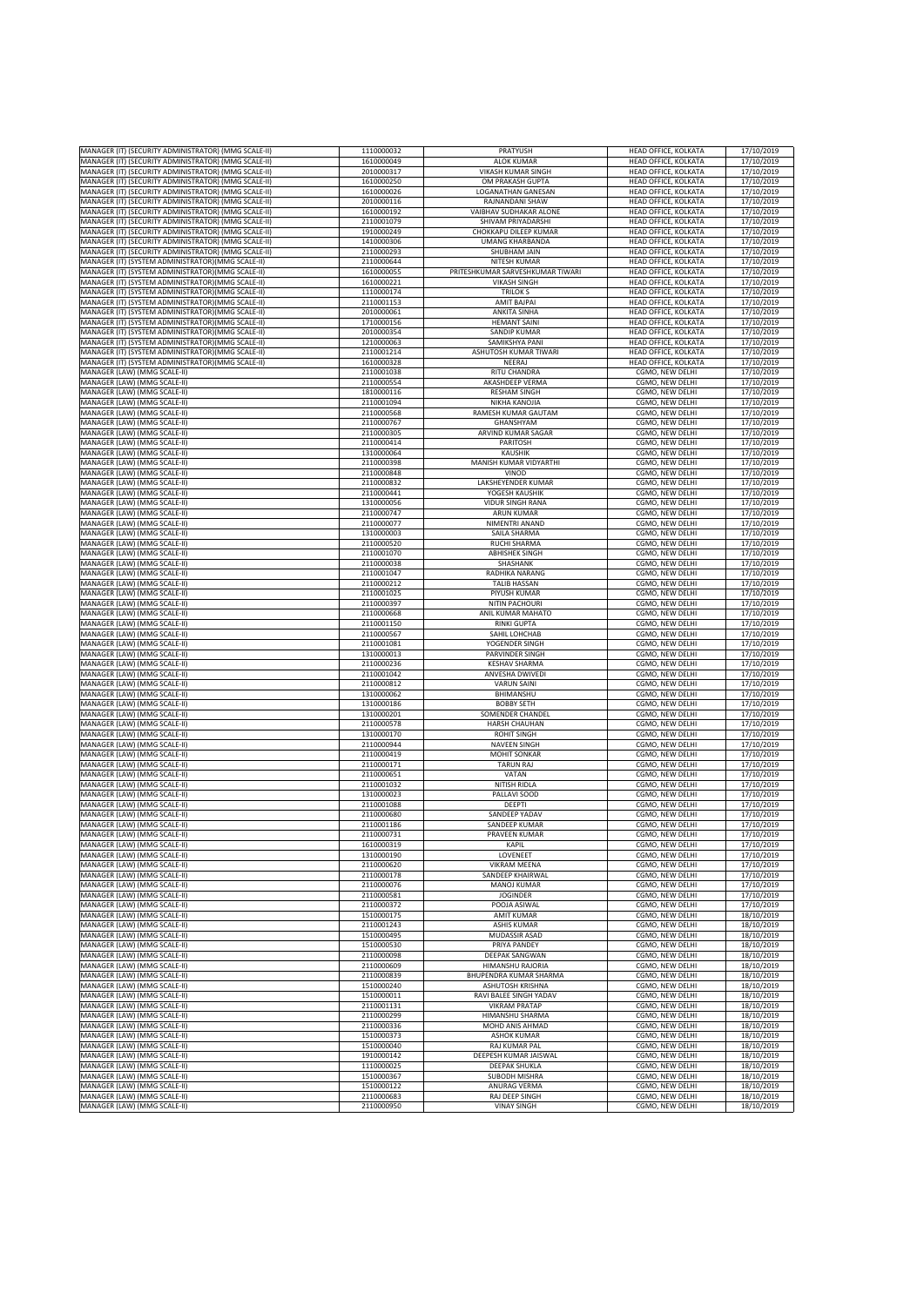| MANAGER (IT) (SECURITY ADMINISTRATOR) (MMG SCALE-II)         | 1110000032 | PRATYUSH                         | HEAD OFFICE, KOLKATA        | 17/10/2019 |
|--------------------------------------------------------------|------------|----------------------------------|-----------------------------|------------|
|                                                              | 1610000049 | <b>ALOK KUMAR</b>                | HEAD OFFICE, KOLKATA        |            |
| MANAGER (IT) (SECURITY ADMINISTRATOR) (MMG SCALE-II)         |            |                                  |                             | 17/10/2019 |
| MANAGER (IT) (SECURITY ADMINISTRATOR) (MMG SCALE-II)         | 2010000317 | VIKASH KUMAR SINGH               | HEAD OFFICE, KOLKATA        | 17/10/2019 |
| MANAGER (IT) (SECURITY ADMINISTRATOR) (MMG SCALE-II)         | 1610000250 | OM PRAKASH GUPTA                 | HEAD OFFICE, KOLKATA        | 17/10/2019 |
| MANAGER (IT) (SECURITY ADMINISTRATOR) (MMG SCALE-II)         | 1610000026 | <b>LOGANATHAN GANESAN</b>        | HEAD OFFICE, KOLKATA        | 17/10/2019 |
| MANAGER (IT) (SECURITY ADMINISTRATOR) (MMG SCALE-II)         | 2010000116 | RAJNANDANI SHAW                  | HEAD OFFICE, KOLKATA        | 17/10/2019 |
| MANAGER (IT) (SECURITY ADMINISTRATOR) (MMG SCALE-II)         | 1610000192 | VAIBHAV SUDHAKAR ALONE           | HEAD OFFICE, KOLKATA        | 17/10/2019 |
| MANAGER (IT) (SECURITY ADMINISTRATOR) (MMG SCALE-II)         | 2110001079 | SHIVAM PRIYADARSHI               | HEAD OFFICE, KOLKATA        | 17/10/2019 |
|                                                              |            |                                  |                             |            |
| MANAGER (IT) (SECURITY ADMINISTRATOR) (MMG SCALE-II)         | 1910000249 | CHOKKAPU DILEEP KUMAR            | HEAD OFFICE, KOLKATA        | 17/10/2019 |
| MANAGER (IT) (SECURITY ADMINISTRATOR) (MMG SCALE-II)         | 1410000306 | <b>UMANG KHARBANDA</b>           | HEAD OFFICE, KOLKATA        | 17/10/2019 |
| MANAGER (IT) (SECURITY ADMINISTRATOR) (MMG SCALE-II)         | 2110000293 | SHUBHAM JAIN                     | HEAD OFFICE, KOLKATA        | 17/10/2019 |
| MANAGER (IT) (SYSTEM ADMINISTRATOR) (MMG SCALE-II)           | 2110000644 | NITESH KUMAR                     | HEAD OFFICE, KOLKATA        | 17/10/2019 |
| MANAGER (IT) (SYSTEM ADMINISTRATOR) (MMG SCALE-II)           | 1610000055 | PRITESHKUMAR SARVESHKUMAR TIWARI | HEAD OFFICE, KOLKATA        | 17/10/2019 |
|                                                              |            |                                  |                             |            |
| MANAGER (IT) (SYSTEM ADMINISTRATOR)(MMG SCALE-II)            | 1610000221 | <b>VIKASH SINGH</b>              | HEAD OFFICE, KOLKATA        | 17/10/2019 |
| MANAGER (IT) (SYSTEM ADMINISTRATOR) (MMG SCALE-II)           | 1110000174 | <b>TRILOKS</b>                   | <b>HEAD OFFICE, KOLKATA</b> | 17/10/2019 |
| MANAGER (IT) (SYSTEM ADMINISTRATOR) (MMG SCALE-II)           | 2110001153 | <b>AMIT BAJPAI</b>               | HEAD OFFICE, KOLKATA        | 17/10/2019 |
| MANAGER (IT) (SYSTEM ADMINISTRATOR) (MMG SCALE-II)           | 2010000061 | <b>ANKITA SINHA</b>              | HEAD OFFICE, KOLKATA        | 17/10/2019 |
| MANAGER (IT) (SYSTEM ADMINISTRATOR) (MMG SCALE-II)           | 1710000156 | <b>HEMANT SAINI</b>              | HEAD OFFICE, KOLKATA        | 17/10/2019 |
| MANAGER (IT) (SYSTEM ADMINISTRATOR)(MMG SCALE-II)            | 2010000354 | SANDIP KUMAR                     | HEAD OFFICE, KOLKATA        | 17/10/2019 |
|                                                              |            | SAMIKSHYA PANI                   |                             |            |
| MANAGER (IT) (SYSTEM ADMINISTRATOR) (MMG SCALE-II)           | 1210000063 |                                  | HEAD OFFICE, KOLKATA        | 17/10/2019 |
| MANAGER (IT) (SYSTEM ADMINISTRATOR) (MMG SCALE-II)           | 2110001214 | ASHUTOSH KUMAR TIWARI            | HEAD OFFICE, KOLKATA        | 17/10/2019 |
| MANAGER (IT) (SYSTEM ADMINISTRATOR) (MMG SCALE-II)           | 1610000328 | NEERAJ                           | HEAD OFFICE, KOLKATA        | 17/10/2019 |
| MANAGER (LAW) (MMG SCALE-II)                                 | 2110001038 | <b>RITU CHANDRA</b>              | CGMO, NEW DELHI             | 17/10/2019 |
| MANAGER (LAW) (MMG SCALE-II)                                 | 2110000554 | AKASHDEEP VERMA                  | CGMO, NEW DELHI             | 17/10/2019 |
| MANAGER (LAW) (MMG SCALE-II)                                 | 1810000116 | <b>RESHAM SINGH</b>              | CGMO, NEW DELHI             | 17/10/2019 |
|                                                              |            |                                  |                             |            |
| MANAGER (LAW) (MMG SCALE-II)                                 | 2110001094 | NIKHA KANOJIA                    | CGMO, NEW DELHI             | 17/10/2019 |
| MANAGER (LAW) (MMG SCALE-II)                                 | 2110000568 | RAMESH KUMAR GAUTAM              | CGMO, NEW DELHI             | 17/10/2019 |
| MANAGER (LAW) (MMG SCALE-II)                                 | 2110000767 | GHANSHYAM                        | CGMO, NEW DELHI             | 17/10/2019 |
| MANAGER (LAW) (MMG SCALE-II)                                 | 2110000305 | ARVIND KUMAR SAGAR               | CGMO, NEW DELHI             | 17/10/2019 |
| MANAGER (LAW) (MMG SCALE-II)                                 | 2110000414 | PARITOSH                         | CGMO, NEW DELHI             | 17/10/2019 |
| MANAGER (LAW) (MMG SCALE-II)                                 | 1310000064 | KAUSHIK                          | CGMO, NEW DELHI             | 17/10/2019 |
| MANAGER (LAW) (MMG SCALE-II)                                 | 2110000398 | MANISH KUMAR VIDYARTHI           | CGMO, NEW DELHI             | 17/10/2019 |
|                                                              |            |                                  |                             |            |
| MANAGER (LAW) (MMG SCALE-II)                                 | 2110000848 | VINOD                            | CGMO, NEW DELHI             | 17/10/2019 |
| MANAGER (LAW) (MMG SCALE-II)                                 | 2110000832 | LAKSHEYENDER KUMAR               | CGMO, NEW DELHI             | 17/10/2019 |
| MANAGER (LAW) (MMG SCALE-II)                                 | 2110000441 | YOGESH KAUSHIK                   | CGMO, NEW DELHI             | 17/10/2019 |
| MANAGER (LAW) (MMG SCALE-II)                                 | 1310000056 | <b>VIDUR SINGH RANA</b>          | CGMO. NEW DELHI             | 17/10/2019 |
| MANAGER (LAW) (MMG SCALE-II)                                 | 2110000747 | <b>ARUN KUMAR</b>                | CGMO, NEW DELHI             | 17/10/2019 |
|                                                              |            |                                  |                             |            |
| MANAGER (LAW) (MMG SCALE-II)                                 | 2110000077 | NIMENTRI ANAND                   | CGMO, NEW DELHI             | 17/10/2019 |
| MANAGER (LAW) (MMG SCALE-II)                                 | 1310000003 | SAILA SHARMA                     | CGMO. NEW DELHI             | 17/10/2019 |
| MANAGER (LAW) (MMG SCALE-II)                                 | 2110000520 | <b>RUCHI SHARMA</b>              | CGMO, NEW DELHI             | 17/10/2019 |
| MANAGER (LAW) (MMG SCALE-II)                                 | 2110001070 | <b>ABHISHEK SINGH</b>            | CGMO, NEW DELHI             | 17/10/2019 |
| MANAGER (LAW) (MMG SCALE-II)                                 | 2110000038 | SHASHANK                         | CGMO, NEW DELHI             | 17/10/2019 |
| MANAGER (LAW) (MMG SCALE-II)                                 | 2110001047 | RADHIKA NARANG                   | CGMO, NEW DELHI             | 17/10/2019 |
|                                                              | 2110000212 | <b>TALIB HASSAN</b>              |                             | 17/10/2019 |
| MANAGER (LAW) (MMG SCALE-II)                                 |            |                                  | CGMO, NEW DELHI             |            |
| MANAGER (LAW) (MMG SCALE-II)                                 | 2110001025 | PIYUSH KUMAR                     | CGMO, NEW DELHI             | 17/10/2019 |
| MANAGER (LAW) (MMG SCALE-II)                                 | 2110000397 | <b>NITIN PACHOURI</b>            | CGMO, NEW DELHI             | 17/10/2019 |
| MANAGER (LAW) (MMG SCALE-II)                                 | 2110000668 | ANIL KUMAR MAHATO                | CGMO, NEW DELHI             | 17/10/2019 |
| MANAGER (LAW) (MMG SCALE-II)                                 | 2110001150 | <b>RINKI GUPTA</b>               | CGMO, NEW DELHI             | 17/10/2019 |
| MANAGER (LAW) (MMG SCALE-II)                                 | 2110000567 | SAHIL LOHCHAB                    | CGMO, NEW DELHI             | 17/10/2019 |
| MANAGER (LAW) (MMG SCALE-II)                                 | 2110001081 | YOGENDER SINGH                   | CGMO, NEW DELHI             | 17/10/2019 |
|                                                              |            |                                  |                             |            |
| MANAGER (LAW) (MMG SCALE-II)                                 | 1310000013 | PARVINDER SINGH                  | CGMO, NEW DELHI             | 17/10/2019 |
| MANAGER (LAW) (MMG SCALE-II)                                 | 2110000236 | <b>KESHAV SHARMA</b>             | CGMO, NEW DELHI             | 17/10/2019 |
| MANAGER (LAW) (MMG SCALE-II)                                 | 2110001042 | ANVESHA DWIVEDI                  | CGMO, NEW DELHI             | 17/10/2019 |
| MANAGER (LAW) (MMG SCALE-II)                                 | 2110000812 | <b>VARUN SAINI</b>               | CGMO, NEW DELHI             | 17/10/2019 |
| MANAGER (LAW) (MMG SCALE-II)                                 | 1310000062 | BHIMANSHU                        | CGMO, NEW DELHI             | 17/10/2019 |
|                                                              | 1310000186 | <b>BOBBY SETH</b>                |                             |            |
| MANAGER (LAW) (MMG SCALE-II)                                 |            |                                  | CGMO, NEW DELHI             | 17/10/2019 |
| MANAGER (LAW) (MMG SCALE-II)                                 | 1310000201 | SOMENDER CHANDEL                 | CGMO, NEW DELHI             | 17/10/2019 |
| MANAGER (LAW) (MMG SCALE-II)                                 | 2110000578 | HARSH CHAUHAN                    | CGMO, NEW DELHI             | 17/10/2019 |
| MANAGER (LAW) (MMG SCALE-II)                                 | 1310000170 | ROHIT SINGH                      | CGMO, NEW DELHI             | 17/10/2019 |
| MANAGER (LAW) (MMG SCALE-II)                                 | 2110000944 | <b>NAVEEN SINGH</b>              | CGMO, NEW DELHI             | 17/10/2019 |
| MANAGER (LAW) (MMG SCALE-II)                                 | 2110000419 | <b>MOHIT SONKAR</b>              | CGMO, NEW DELHI             | 17/10/2019 |
| MANAGER (LAW) (MMG SCALE-II)                                 | 2110000171 | <b>TARUN RAJ</b>                 | CGMO, NEW DELHI             | 17/10/2019 |
| MANAGER (LAW) (MMG SCALE-II)                                 | 2110000651 | VATAN                            | CGMO, NEW DELHI             | 17/10/2019 |
|                                                              |            |                                  | CGMO, NEW DELHI             |            |
| MANAGER (LAW) (MMG SCALE-II)                                 | 2110001032 | NITISH RIDLA                     |                             | 17/10/2019 |
| MANAGER (LAW) (MMG SCALE-II)                                 | 1310000023 | PALLAVI SOOD                     | CGMO, NEW DELHI             | 17/10/2019 |
| MANAGER (LAW) (MMG SCALE-II)                                 | 2110001088 | DEEPTI                           | CGMO, NEW DELHI             | 17/10/2019 |
| MANAGER (LAW) (MMG SCALE-II)                                 | 2110000680 | SANDEEP YADAV                    | CGMO, NEW DELHI             | 17/10/2019 |
| MANAGER (LAW) (MMG SCALE-II)                                 | 2110001186 | SANDEEP KUMAR                    | CGMO, NEW DELHI             | 17/10/2019 |
| MANAGER (LAW) (MMG SCALE-II)                                 | 2110000731 | PRAVEEN KUMAR                    | CGMO, NEW DELHI             | 17/10/2019 |
| MANAGER (LAW) (MMG SCALE-II)                                 | 1610000319 | <b>KAPIL</b>                     | CGMO, NEW DELHI             | 17/10/2019 |
| MANAGER (LAW) (MMG SCALE-II)                                 | 1310000190 | LOVENEET                         | CGMO, NEW DELHI             | 17/10/2019 |
|                                                              |            |                                  |                             |            |
| MANAGER (LAW) (MMG SCALE-II)                                 | 2110000620 | <b>VIKRAM MEENA</b>              | CGMO, NEW DELHI             | 17/10/2019 |
| MANAGER (LAW) (MMG SCALE-II)                                 | 2110000178 | SANDEEP KHAIRWAL                 | CGMO, NEW DELHI             | 17/10/2019 |
| MANAGER (LAW) (MMG SCALE-II)                                 | 2110000076 | <b>MANOJ KUMAR</b>               | CGMO, NEW DELHI             | 17/10/2019 |
| MANAGER (LAW) (MMG SCALE-II)                                 | 2110000581 | <b>JOGINDER</b>                  | CGMO, NEW DELHI             | 17/10/2019 |
| MANAGER (LAW) (MMG SCALE-II)                                 | 2110000372 | POOJA ASIWAL                     | CGMO, NEW DELHI             | 17/10/2019 |
| MANAGER (LAW) (MMG SCALE-II)                                 | 1510000175 | <b>AMIT KUMAR</b>                | CGMO, NEW DELHI             | 18/10/2019 |
|                                                              |            |                                  |                             |            |
| MANAGER (LAW) (MMG SCALE-II)                                 | 2110001243 | <b>ASHIS KUMAR</b>               | CGMO, NEW DELHI             | 18/10/2019 |
| MANAGER (LAW) (MMG SCALE-II)                                 | 1510000495 | MUDASSIR ASAD                    | CGMO, NEW DELHI             | 18/10/2019 |
| MANAGER (LAW) (MMG SCALE-II)                                 | 1510000530 | PRIYA PANDEY                     | CGMO, NEW DELHI             | 18/10/2019 |
| MANAGER (LAW) (MMG SCALE-II)                                 | 2110000098 | DEEPAK SANGWAN                   | CGMO, NEW DELHI             | 18/10/2019 |
| MANAGER (LAW) (MMG SCALE-II)                                 | 2110000609 | HIMANSHU RAJORIA                 | CGMO, NEW DELHI             | 18/10/2019 |
| MANAGER (LAW) (MMG SCALE-II)                                 | 2110000839 | BHUPENDRA KUMAR SHARMA           | CGMO, NEW DELHI             | 18/10/2019 |
|                                                              |            |                                  |                             |            |
| MANAGER (LAW) (MMG SCALE-II)                                 | 1510000240 | <b>ASHUTOSH KRISHNA</b>          | CGMO, NEW DELHI             | 18/10/2019 |
| MANAGER (LAW) (MMG SCALE-II)                                 | 1510000011 | RAVI BALEE SINGH YADAV           | CGMO, NEW DELHI             | 18/10/2019 |
| MANAGER (LAW) (MMG SCALE-II)                                 | 2110001131 | <b>VIKRAM PRATAP</b>             | CGMO, NEW DELHI             | 18/10/2019 |
| MANAGER (LAW) (MMG SCALE-II)                                 | 2110000299 | HIMANSHU SHARMA                  | CGMO, NEW DELHI             | 18/10/2019 |
| MANAGER (LAW) (MMG SCALE-II)                                 | 2110000336 | MOHD ANIS AHMAD                  | CGMO, NEW DELHI             | 18/10/2019 |
| MANAGER (LAW) (MMG SCALE-II)                                 | 1510000373 | <b>ASHOK KUMAR</b>               | CGMO, NEW DELHI             | 18/10/2019 |
|                                                              |            |                                  |                             |            |
| MANAGER (LAW) (MMG SCALE-II)                                 | 1510000040 | RAJ KUMAR PAL                    | CGMO, NEW DELHI             | 18/10/2019 |
| MANAGER (LAW) (MMG SCALE-II)                                 | 1910000142 | DEEPESH KUMAR JAISWAL            | CGMO, NEW DELHI             | 18/10/2019 |
| MANAGER (LAW) (MMG SCALE-II)                                 | 1110000025 | <b>DEEPAK SHUKLA</b>             | CGMO, NEW DELHI             | 18/10/2019 |
| MANAGER (LAW) (MMG SCALE-II)                                 | 1510000367 | SUBODH MISHRA                    | CGMO, NEW DELHI             | 18/10/2019 |
| MANAGER (LAW) (MMG SCALE-II)                                 | 1510000122 | ANURAG VERMA                     | CGMO, NEW DELHI             | 18/10/2019 |
|                                                              |            |                                  |                             |            |
| MANAGER (LAW) (MMG SCALE-II)<br>MANAGER (LAW) (MMG SCALE-II) | 2110000683 | RAJ DEEP SINGH                   | CGMO, NEW DELHI             | 18/10/2019 |
|                                                              | 2110000950 | <b>VINAY SINGH</b>               | CGMO, NEW DELHI             | 18/10/2019 |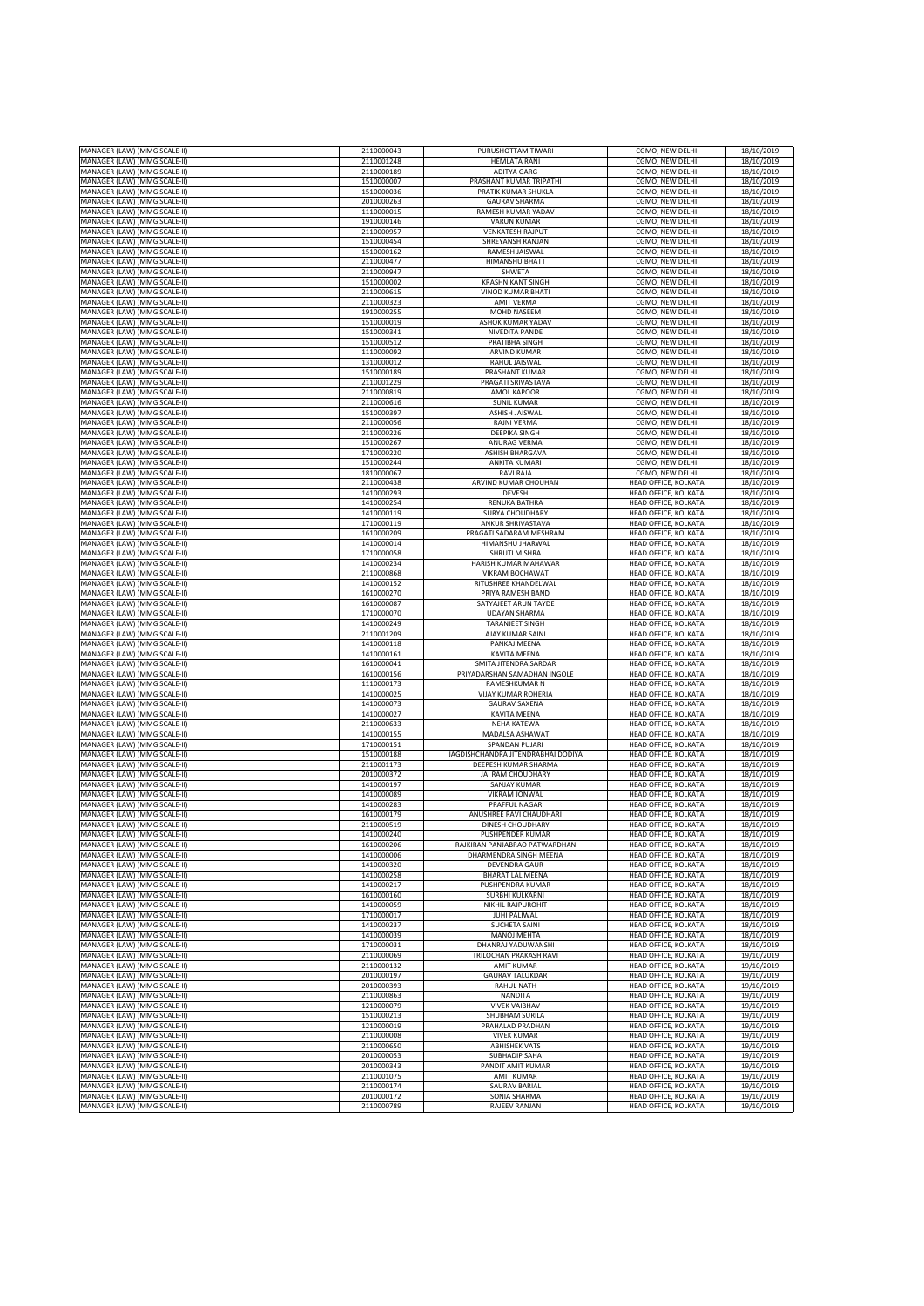| MANAGER (LAW) (MMG SCALE-II)                                 | 2110000043               | PURUSHOTTAM TIWARI                 | CGMO, NEW DELHI                              | 18/10/2019               |
|--------------------------------------------------------------|--------------------------|------------------------------------|----------------------------------------------|--------------------------|
| MANAGER (LAW) (MMG SCALE-II)                                 | 2110001248               | <b>HEMLATA RANI</b>                | CGMO, NEW DELHI                              | 18/10/2019               |
| MANAGER (LAW) (MMG SCALE-II)                                 | 2110000189               | <b>ADITYA GARG</b>                 | CGMO. NEW DELHI                              | 18/10/2019               |
|                                                              |                          |                                    |                                              |                          |
| MANAGER (LAW) (MMG SCALE-II)                                 | 1510000007               | PRASHANT KUMAR TRIPATHI            | CGMO, NEW DELHI                              | 18/10/2019               |
| MANAGER (LAW) (MMG SCALE-II)                                 | 1510000036               | PRATIK KUMAR SHUKLA                | CGMO, NEW DELHI                              | 18/10/2019               |
| MANAGER (LAW) (MMG SCALE-II)                                 | 2010000263               | <b>GAURAV SHARMA</b>               | CGMO, NEW DELHI                              | 18/10/2019               |
| MANAGER (LAW) (MMG SCALE-II)                                 | 1110000015               | RAMESH KUMAR YADAV                 | CGMO, NEW DELHI                              | 18/10/2019               |
| MANAGER (LAW) (MMG SCALE-II)                                 | 1910000146               | <b>VARUN KUMAR</b>                 | CGMO, NEW DELHI                              | 18/10/2019               |
| MANAGER (LAW) (MMG SCALE-II)                                 | 2110000957               | <b>VENKATESH RAJPUT</b>            | CGMO, NEW DELHI                              | 18/10/2019               |
| MANAGER (LAW) (MMG SCALE-II)                                 | 1510000454               | SHREYANSH RANJAN                   | CGMO, NEW DELHI                              | 18/10/2019               |
| MANAGER (LAW) (MMG SCALE-II)                                 | 1510000162               | RAMESH JAISWAL                     | CGMO, NEW DELHI                              | 18/10/2019               |
|                                                              | 2110000477               | <b>HIMANSHU BHATT</b>              |                                              |                          |
| MANAGER (LAW) (MMG SCALE-II)                                 |                          |                                    | CGMO, NEW DELHI                              | 18/10/2019               |
| MANAGER (LAW) (MMG SCALE-II)                                 | 2110000947               | SHWETA                             | CGMO, NEW DELHI                              | 18/10/2019               |
| MANAGER (LAW) (MMG SCALE-II)                                 | 1510000002               | <b>KRASHN KANT SINGH</b>           | CGMO, NEW DELHI                              | 18/10/2019               |
| <b>MANAGER (LAW) (MMG SCALE-II)</b>                          | 2110000615               | VINOD KUMAR BHATI                  | CGMO, NEW DELHI                              | 18/10/2019               |
| MANAGER (LAW) (MMG SCALE-II)                                 | 2110000323               | <b>AMIT VERMA</b>                  | CGMO, NEW DELHI                              | 18/10/2019               |
| MANAGER (LAW) (MMG SCALE-II)                                 | 1910000255               | MOHD NASEEM                        | CGMO, NEW DELHI                              | 18/10/2019               |
| MANAGER (LAW) (MMG SCALE-II)                                 | 1510000019               | ASHOK KUMAR YADAV                  | CGMO, NEW DELHI                              | 18/10/2019               |
| MANAGER (LAW) (MMG SCALE-II)                                 | 1510000341               | NIVEDITA PANDE                     | CGMO, NEW DELHI                              | 18/10/2019               |
| MANAGER (LAW) (MMG SCALE-II)                                 | 1510000512               | PRATIBHA SINGH                     | CGMO, NEW DELHI                              | 18/10/2019               |
| <b>MANAGER (LAW) (MMG SCALE-II)</b>                          | 1110000092               | ARVIND KUMAR                       | CGMO, NEW DELHI                              | 18/10/2019               |
| MANAGER (LAW) (MMG SCALE-II)                                 | 1310000012               | RAHUL JAISWAL                      | CGMO, NEW DELHI                              | 18/10/2019               |
|                                                              |                          |                                    |                                              |                          |
| MANAGER (LAW) (MMG SCALE-II)                                 | 1510000189               | PRASHANT KUMAR                     | CGMO, NEW DELHI                              | 18/10/2019               |
| MANAGER (LAW) (MMG SCALE-II)                                 | 2110001229               | PRAGATI SRIVASTAVA                 | CGMO, NEW DELHI                              | 18/10/2019               |
| MANAGER (LAW) (MMG SCALE-II)                                 | 2110000819               | AMOL KAPOOR                        | CGMO, NEW DELHI                              | 18/10/2019               |
| MANAGER (LAW) (MMG SCALE-II)                                 | 2110000616               | <b>SUNIL KUMAR</b>                 | CGMO, NEW DELHI                              | 18/10/2019               |
| MANAGER (LAW) (MMG SCALE-II)                                 | 1510000397               | <b>ASHISH JAISWAL</b>              | CGMO, NEW DELHI                              | 18/10/2019               |
| MANAGER (LAW) (MMG SCALE-II)                                 | 2110000056               | RAJNI VERMA                        | CGMO, NEW DELHI                              | 18/10/2019               |
| MANAGER (LAW) (MMG SCALE-II)                                 | 2110000226               | <b>DEEPIKA SINGH</b>               | CGMO, NEW DELHI                              | 18/10/2019               |
| MANAGER (LAW) (MMG SCALE-II)                                 | 1510000267               | ANURAG VERMA                       | CGMO, NEW DELHI                              | 18/10/2019               |
| MANAGER (LAW) (MMG SCALE-II)                                 | 1710000220               | <b>ASHISH BHARGAVA</b>             | CGMO, NEW DELHI                              | 18/10/2019               |
| MANAGER (LAW) (MMG SCALE-II)                                 | 1510000244               | ANKITA KUMARI                      | CGMO, NEW DELHI                              | 18/10/2019               |
| MANAGER (LAW) (MMG SCALE-II)                                 | 1810000067               | <b>RAVI RAJA</b>                   | CGMO, NEW DELHI                              | 18/10/2019               |
| MANAGER (LAW) (MMG SCALE-II)                                 | 2110000438               | ARVIND KUMAR CHOUHAN               | <b>HEAD OFFICE, KOLKATA</b>                  | 18/10/2019               |
|                                                              |                          |                                    |                                              |                          |
| MANAGER (LAW) (MMG SCALE-II)                                 | 1410000293               | DEVESH                             | HEAD OFFICE, KOLKATA                         | 18/10/2019               |
| MANAGER (LAW) (MMG SCALE-II)                                 | 1410000254               | <b>RENUKA BATHRA</b>               | HEAD OFFICE, KOLKATA                         | 18/10/2019               |
| MANAGER (LAW) (MMG SCALE-II)                                 | 1410000119               | <b>SURYA CHOUDHARY</b>             | HEAD OFFICE, KOLKATA                         | 18/10/2019               |
| MANAGER (LAW) (MMG SCALE-II)                                 | 1710000119               | ANKUR SHRIVASTAVA                  | HEAD OFFICE, KOLKATA                         | 18/10/2019               |
| MANAGER (LAW) (MMG SCALE-II)                                 | 1610000209               | PRAGATI SADARAM MESHRAM            | HEAD OFFICE, KOLKATA                         | 18/10/2019               |
| <b>MANAGER (LAW) (MMG SCALE-II)</b>                          | 1410000014               | HIMANSHU JHARWAL                   | HEAD OFFICE, KOLKATA                         | 18/10/2019               |
| MANAGER (LAW) (MMG SCALE-II)                                 | 1710000058               | SHRUTI MISHRA                      | HEAD OFFICE, KOLKATA                         | 18/10/2019               |
| MANAGER (LAW) (MMG SCALE-II)                                 | 1410000234               | <b>HARISH KUMAR MAHAWAR</b>        | HEAD OFFICE, KOLKATA                         | 18/10/2019               |
| MANAGER (LAW) (MMG SCALE-II)                                 | 2110000868               | <b>VIKRAM BOCHAWAT</b>             | HEAD OFFICE, KOLKATA                         | 18/10/2019               |
|                                                              | 1410000152               |                                    |                                              |                          |
| MANAGER (LAW) (MMG SCALE-II)                                 |                          | RITUSHREE KHANDELWAL               | HEAD OFFICE, KOLKATA                         | 18/10/2019               |
| MANAGER (LAW) (MMG SCALE-II)                                 | 1610000270               | PRIYA RAMESH BAND                  | HEAD OFFICE, KOLKATA                         | 18/10/2019               |
| MANAGER (LAW) (MMG SCALE-II)                                 | 1610000087               | SATYAJEET ARUN TAYDE               | <b>HEAD OFFICE, KOLKATA</b>                  | 18/10/2019               |
| MANAGER (LAW) (MMG SCALE-II)                                 | 1710000070               | <b>UDAYAN SHARMA</b>               | HEAD OFFICE, KOLKATA                         | 18/10/2019               |
| MANAGER (LAW) (MMG SCALE-II)                                 | 1410000249               | <b>TARANJEET SINGH</b>             | HEAD OFFICE, KOLKATA                         | 18/10/2019               |
| MANAGER (LAW) (MMG SCALE-II)                                 | 2110001209               | AJAY KUMAR SAINI                   | HEAD OFFICE, KOLKATA                         | 18/10/2019               |
| MANAGER (LAW) (MMG SCALE-II)                                 | 1410000118               | PANKAJ MEENA                       | HEAD OFFICE, KOLKATA                         | 18/10/2019               |
| MANAGER (LAW) (MMG SCALE-II)                                 | 1410000161               | KAVITA MEENA                       | HEAD OFFICE, KOLKATA                         | 18/10/2019               |
| <b>MANAGER (LAW) (MMG SCALE-II)</b>                          | 1610000041               | SMITA JITENDRA SARDAR              | HEAD OFFICE, KOLKATA                         | 18/10/2019               |
| MANAGER (LAW) (MMG SCALE-II)                                 | 1610000156               | PRIYADARSHAN SAMADHAN INGOLE       | <b>HEAD OFFICE, KOLKATA</b>                  | 18/10/2019               |
|                                                              |                          |                                    |                                              |                          |
|                                                              |                          | RAMESHKUMAR N                      | HEAD OFFICE, KOLKATA                         | 18/10/2019               |
| MANAGER (LAW) (MMG SCALE-II)                                 | 1110000173               |                                    |                                              |                          |
| MANAGER (LAW) (MMG SCALE-II)                                 | 1410000025               | <b>VIJAY KUMAR ROHERIA</b>         | HEAD OFFICE, KOLKATA                         | 18/10/2019               |
| MANAGER (LAW) (MMG SCALE-II)                                 | 1410000073               | <b>GAURAV SAXENA</b>               | HEAD OFFICE, KOLKATA                         | 18/10/2019               |
| MANAGER (LAW) (MMG SCALE-II)                                 | 1410000027               | KAVITA MEENA                       | HEAD OFFICE, KOLKATA                         | 18/10/2019               |
| MANAGER (LAW) (MMG SCALE-II)                                 | 2110000633               | NEHA KATEWA                        | HEAD OFFICE, KOLKATA                         | 18/10/2019               |
| MANAGER (LAW) (MMG SCALE-II)                                 | 1410000155               | MADALSA ASHAWAT                    | HEAD OFFICE, KOLKATA                         | 18/10/2019               |
| MANAGER (LAW) (MMG SCALE-II)                                 | 1710000151               | SPANDAN PUJARI                     | HEAD OFFICE, KOLKATA                         | 18/10/2019               |
| MANAGER (LAW) (MMG SCALE-II)                                 | 1510000188               | JAGDISHCHANDRA JITENDRABHAI DODIYA | HEAD OFFICE, KOLKATA                         | 18/10/2019               |
| MANAGER (LAW) (MMG SCALE-II)                                 | 2110001173               | DEEPESH KUMAR SHARMA               | HEAD OFFICE, KOLKATA                         | 18/10/2019               |
|                                                              |                          |                                    | HEAD OFFICE, KOLKATA                         | 18/10/2019               |
| MANAGER (LAW) (MMG SCALE-II)                                 | 2010000372               | JAI RAM CHOUDHARY                  |                                              |                          |
| MANAGER (LAW) (MMG SCALE-II)                                 | 1410000197               | SANJAY KUMAR                       | HEAD OFFICE, KOLKATA                         | 18/10/2019               |
| <b>MANAGER (LAW) (MMG SCALE-II)</b>                          | 1410000089               | VIKRAM JONWAL                      | HEAD OFFICE, KOLKATA                         | 18/10/2019               |
| MANAGER (LAW) (MMG SCALE-II)                                 | 1410000283               | PRAFFUL NAGAR                      | HEAD OFFICE, KOLKATA                         | 18/10/2019               |
| MANAGER (LAW) (MMG SCALE-II)                                 | 1610000179               | ANUSHREE RAVI CHAUDHARI            | HEAD OFFICE, KOLKATA                         | 18/10/2019               |
| MANAGER (LAW) (MMG SCALE-II)                                 | 2110000519               | DINESH CHOUDHARY                   | HEAD OFFICE, KOLKATA                         | 18/10/2019               |
| MANAGER (LAW) (MMG SCALE-II)                                 | 1410000240               | <b>PUSHPENDER KUMAR</b>            | HEAD OFFICE, KOLKATA                         | 18/10/2019               |
| MANAGER (LAW) (MMG SCALE-II)                                 | 1610000206               | RAJKIRAN PANJABRAO PATWARDHAN      | HEAD OFFICE, KOLKATA                         | 18/10/2019               |
| MANAGER (LAW) (MMG SCALE-II)                                 | 1410000006               | DHARMENDRA SINGH MEENA             | HEAD OFFICE, KOLKATA                         | 18/10/2019               |
| MANAGER (LAW) (MMG SCALE-II)                                 | 1410000320               | <b>DEVENDRA GAUR</b>               | HEAD OFFICE, KOLKATA                         | 18/10/2019               |
| MANAGER (LAW) (MMG SCALE-II)                                 | 1410000258               | <b>BHARAT LAL MEENA</b>            | HEAD OFFICE, KOLKATA                         | 18/10/2019               |
| MANAGER (LAW) (MMG SCALE-II)                                 | 1410000217               | PUSHPENDRA KUMAR                   | HEAD OFFICE, KOLKATA                         | 18/10/2019               |
| MANAGER (LAW) (MMG SCALE-II)                                 | 1610000160               | SURBHI KULKARNI                    | HEAD OFFICE, KOLKATA                         | 18/10/2019               |
| MANAGER (LAW) (MMG SCALE-II)                                 | 1410000059               | NIKHIL RAJPUROHIT                  | HEAD OFFICE, KOLKATA                         | 18/10/2019               |
| MANAGER (LAW) (MMG SCALE-II)                                 | 1710000017               | JUHI PALIWAL                       | <b>HEAD OFFICE, KOLKATA</b>                  | 18/10/2019               |
|                                                              | 1410000237               | <b>SUCHETA SAINI</b>               |                                              |                          |
| MANAGER (LAW) (MMG SCALE-II)                                 |                          |                                    | HEAD OFFICE, KOLKATA                         | 18/10/2019               |
| MANAGER (LAW) (MMG SCALE-II)                                 | 1410000039               | MANOJ MEHTA                        | HEAD OFFICE, KOLKATA                         | 18/10/2019               |
| MANAGER (LAW) (MMG SCALE-II)                                 | 1710000031               | DHANRAJ YADUWANSHI                 | HEAD OFFICE, KOLKATA                         | 18/10/2019               |
| MANAGER (LAW) (MMG SCALE-II)                                 | 2110000069               | TRILOCHAN PRAKASH RAVI             | HEAD OFFICE, KOLKATA                         | 19/10/2019               |
| MANAGER (LAW) (MMG SCALE-II)                                 | 2110000132               | <b>AMIT KUMAR</b>                  | HEAD OFFICE, KOLKATA                         | 19/10/2019               |
| MANAGER (LAW) (MMG SCALE-II)                                 | 2010000197               | <b>GAURAV TALUKDAR</b>             | HEAD OFFICE, KOLKATA                         | 19/10/2019               |
| MANAGER (LAW) (MMG SCALE-II)                                 | 2010000393               | RAHUL NATH                         | HEAD OFFICE, KOLKATA                         | 19/10/2019               |
| MANAGER (LAW) (MMG SCALE-II)                                 | 2110000863               | <b>NANDITA</b>                     | HEAD OFFICE, KOLKATA                         | 19/10/2019               |
| MANAGER (LAW) (MMG SCALE-II)                                 | 1210000079               | <b>VIVEK VAIBHAV</b>               | HEAD OFFICE, KOLKATA                         | 19/10/2019               |
| MANAGER (LAW) (MMG SCALE-II)                                 | 1510000213               | SHUBHAM SURILA                     | HEAD OFFICE, KOLKATA                         | 19/10/2019               |
| MANAGER (LAW) (MMG SCALE-II)                                 | 1210000019               | PRAHALAD PRADHAN                   | HEAD OFFICE, KOLKATA                         | 19/10/2019               |
| MANAGER (LAW) (MMG SCALE-II)                                 | 2110000008               | <b>VIVEK KUMAR</b>                 | HEAD OFFICE, KOLKATA                         | 19/10/2019               |
|                                                              | 2110000650               | <b>ABHISHEK VATS</b>               | HEAD OFFICE, KOLKATA                         |                          |
| MANAGER (LAW) (MMG SCALE-II)                                 |                          |                                    |                                              | 19/10/2019               |
| MANAGER (LAW) (MMG SCALE-II)                                 | 2010000053               | <b>SUBHADIP SAHA</b>               | HEAD OFFICE, KOLKATA                         | 19/10/2019               |
| MANAGER (LAW) (MMG SCALE-II)                                 | 2010000343               | PANDIT AMIT KUMAR                  | HEAD OFFICE, KOLKATA                         | 19/10/2019               |
| MANAGER (LAW) (MMG SCALE-II)                                 | 2110001075               | <b>AMIT KUMAR</b>                  | <b>HEAD OFFICE, KOLKATA</b>                  | 19/10/2019               |
| MANAGER (LAW) (MMG SCALE-II)                                 | 2110000174               | <b>SAURAV BARIAL</b>               | HEAD OFFICE, KOLKATA                         | 19/10/2019               |
| MANAGER (LAW) (MMG SCALE-II)<br>MANAGER (LAW) (MMG SCALE-II) | 2010000172<br>2110000789 | SONIA SHARMA<br>RAJEEV RANJAN      | HEAD OFFICE, KOLKATA<br>HEAD OFFICE, KOLKATA | 19/10/2019<br>19/10/2019 |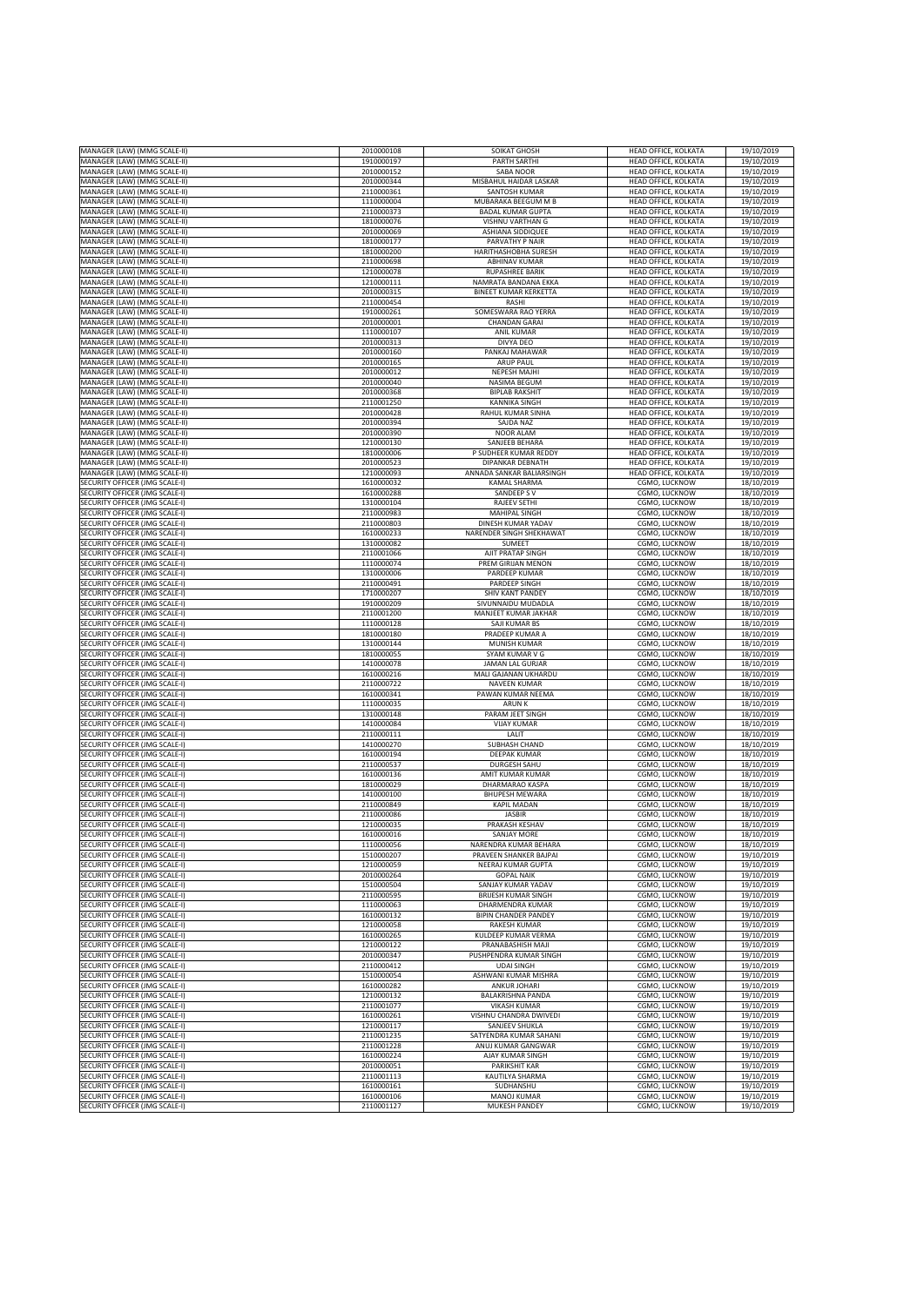| MANAGER (LAW) (MMG SCALE-II)                                            | 2010000108               | SOIKAT GHOSH                                 | HEAD OFFICE, KOLKATA           | 19/10/2019               |
|-------------------------------------------------------------------------|--------------------------|----------------------------------------------|--------------------------------|--------------------------|
|                                                                         |                          | <b>PARTH SARTHI</b>                          |                                |                          |
| MANAGER (LAW) (MMG SCALE-II)<br>MANAGER (LAW) (MMG SCALE-II)            | 1910000197               |                                              | HEAD OFFICE, KOLKATA           | 19/10/2019               |
|                                                                         | 2010000152               | SABA NOOR                                    | HEAD OFFICE, KOLKATA           | 19/10/2019               |
| MANAGER (LAW) (MMG SCALE-II)                                            | 2010000344               | MISBAHUL HAIDAR LASKAR                       | <b>HEAD OFFICE, KOLKATA</b>    | 19/10/2019               |
| MANAGER (LAW) (MMG SCALE-II)                                            | 2110000361               | SANTOSH KUMAR                                | HEAD OFFICE, KOLKATA           | 19/10/2019               |
| MANAGER (LAW) (MMG SCALE-II)                                            | 1110000004               | MUBARAKA BEEGUM M B                          | <b>HEAD OFFICE, KOLKATA</b>    | 19/10/2019               |
| MANAGER (LAW) (MMG SCALE-II)                                            | 2110000373               | <b>BADAL KUMAR GUPTA</b>                     | HEAD OFFICE, KOLKATA           | 19/10/2019               |
| MANAGER (LAW) (MMG SCALE-II)                                            | 1810000076               | VISHNU VARTHAN G                             | HEAD OFFICE, KOLKATA           | 19/10/2019               |
| MANAGER (LAW) (MMG SCALE-II)                                            | 2010000069               | <b>ASHIANA SIDDIQUEE</b>                     | HEAD OFFICE, KOLKATA           | 19/10/2019               |
| MANAGER (LAW) (MMG SCALE-II)                                            | 1810000177               | PARVATHY P NAIR                              | HEAD OFFICE, KOLKATA           | 19/10/2019               |
| MANAGER (LAW) (MMG SCALE-II)                                            | 1810000200               | HARITHASHOBHA SURESH                         | HEAD OFFICE, KOLKATA           | 19/10/2019               |
| MANAGER (LAW) (MMG SCALE-II)                                            | 2110000698               | <b>ABHINAV KUMAR</b>                         | HEAD OFFICE, KOLKATA           | 19/10/2019               |
| MANAGER (LAW) (MMG SCALE-II)                                            | 1210000078               | <b>RUPASHREE BARIK</b>                       | HEAD OFFICE, KOLKATA           | 19/10/2019               |
| MANAGER (LAW) (MMG SCALE-II)                                            | 1210000111               | NAMRATA BANDANA EKKA                         | HEAD OFFICE, KOLKATA           | 19/10/2019               |
| <b>MANAGER (LAW) (MMG SCALE-II)</b>                                     | 2010000315               | <b>BINEET KUMAR KERKETTA</b>                 | HEAD OFFICE, KOLKATA           | 19/10/2019               |
| <b>MANAGER (LAW) (MMG SCALE-II)</b>                                     | 2110000454               | RASHI                                        | HEAD OFFICE, KOLKATA           | 19/10/2019               |
| MANAGER (LAW) (MMG SCALE-II)                                            | 1910000261               | SOMESWARA RAO YERRA                          | HEAD OFFICE, KOLKATA           | 19/10/2019               |
| MANAGER (LAW) (MMG SCALE-II)                                            | 2010000001               | <b>CHANDAN GARAI</b>                         | HEAD OFFICE, KOLKATA           | 19/10/2019               |
| MANAGER (LAW) (MMG SCALE-II)                                            | 1110000107               | <b>ANIL KUMAR</b>                            | HEAD OFFICE, KOLKATA           | 19/10/2019               |
| MANAGER (LAW) (MMG SCALE-II)                                            | 2010000313               | DIVYA DEO                                    | HEAD OFFICE, KOLKATA           | 19/10/2019               |
| <b>MANAGER (LAW) (MMG SCALE-II)</b>                                     | 2010000160               | PANKAJ MAHAWAR                               | HEAD OFFICE, KOLKATA           | 19/10/2019               |
| MANAGER (LAW) (MMG SCALE-II)                                            | 2010000165               | <b>ARUP PAUL</b>                             | HEAD OFFICE, KOLKATA           | 19/10/2019               |
| MANAGER (LAW) (MMG SCALE-II)                                            |                          | <b>NEPESH MAJHI</b>                          | HEAD OFFICE, KOLKATA           | 19/10/2019               |
| MANAGER (LAW) (MMG SCALE-II)                                            | 2010000012<br>2010000040 | NASIMA BEGUM                                 | HEAD OFFICE, KOLKATA           | 19/10/2019               |
|                                                                         | 2010000368               | <b>BIPLAB RAKSHIT</b>                        |                                |                          |
| MANAGER (LAW) (MMG SCALE-II)                                            |                          |                                              | HEAD OFFICE, KOLKATA           | 19/10/2019               |
| MANAGER (LAW) (MMG SCALE-II)                                            | 2110001250               | <b>KANNIKA SINGH</b>                         | HEAD OFFICE, KOLKATA           | 19/10/2019               |
| MANAGER (LAW) (MMG SCALE-II)                                            | 2010000428               | RAHUL KUMAR SINHA                            | HEAD OFFICE, KOLKATA           | 19/10/2019               |
| MANAGER (LAW) (MMG SCALE-II)                                            | 2010000394               | <b>SAJDA NAZ</b>                             | HEAD OFFICE, KOLKATA           | 19/10/2019               |
| MANAGER (LAW) (MMG SCALE-II)                                            | 2010000390               | NOOR ALAM                                    | HEAD OFFICE, KOLKATA           | 19/10/2019               |
| MANAGER (LAW) (MMG SCALE-II)                                            | 1210000130               | SANJEEB BEHARA                               | HEAD OFFICE, KOLKATA           | 19/10/2019               |
| MANAGER (LAW) (MMG SCALE-II)                                            | 1810000006               | P SUDHEER KUMAR REDDY                        | HEAD OFFICE, KOLKATA           | 19/10/2019               |
| MANAGER (LAW) (MMG SCALE-II)                                            | 2010000523               | DIPANKAR DEBNATH                             | HEAD OFFICE, KOLKATA           | 19/10/2019               |
| MANAGER (LAW) (MMG SCALE-II)                                            | 1210000093               | ANNADA SANKAR BALIARSINGH                    | HEAD OFFICE, KOLKATA           | 19/10/2019               |
| <b>SECURITY OFFICER (JMG SCALE-I)</b>                                   | 1610000032               | KAMAL SHARMA                                 | CGMO, LUCKNOW                  | 18/10/2019               |
| SECURITY OFFICER (JMG SCALE-I)                                          | 1610000288               | SANDEEP SV                                   | CGMO, LUCKNOW                  | 18/10/2019               |
| SECURITY OFFICER (JMG SCALE-I)                                          | 1310000104               | RAJEEV SETHI                                 | CGMO, LUCKNOW                  | 18/10/2019               |
| SECURITY OFFICER (JMG SCALE-I)                                          | 2110000983               | MAHIPAL SINGH                                | CGMO, LUCKNOW                  | 18/10/2019               |
| SECURITY OFFICER (JMG SCALE-I)                                          | 2110000803               | DINESH KUMAR YADAV                           | CGMO, LUCKNOW                  | 18/10/2019               |
| ECURITY OFFICER (JMG SCALE-I)                                           | 1610000233               | NARENDER SINGH SHEKHAWAT                     | CGMO, LUCKNOW                  | 18/10/2019               |
| ECURITY OFFICER (JMG SCALE-I)                                           | 1310000082               | SUMEET                                       | CGMO, LUCKNOW                  | 18/10/2019               |
| <b>SECURITY OFFICER (JMG SCALE-I)</b>                                   | 2110001066               | AJIT PRATAP SINGH                            | CGMO, LUCKNOW                  | 18/10/2019               |
| SECURITY OFFICER (JMG SCALE-I)                                          | 1110000074               | PREM GIRIJAN MENON                           | CGMO, LUCKNOW                  | 18/10/2019               |
| SECURITY OFFICER (JMG SCALE-I)                                          | 1310000006               | PARDEEP KUMAR                                | CGMO, LUCKNOW                  | 18/10/2019               |
| SECURITY OFFICER (JMG SCALE-I)                                          | 2110000491               | PARDEEP SINGH                                | CGMO, LUCKNOW                  | 18/10/2019               |
| <b>SECURITY OFFICER (JMG SCALE-I)</b>                                   | 1710000207               | SHIV KANT PANDEY                             | CGMO, LUCKNOW                  | 18/10/2019               |
| ECURITY OFFICER (JMG SCALE-I)                                           | 1910000209               | SIVUNNAIDU MUDADLA                           | CGMO, LUCKNOW                  | 18/10/2019               |
| <b>SECURITY OFFICER (JMG SCALE-I)</b>                                   | 2110001200               | MANJEET KUMAR JAKHAR                         | CGMO, LUCKNOW                  | 18/10/2019               |
| SECURITY OFFICER (JMG SCALE-I)                                          | 1110000128               | SAJI KUMAR BS                                | CGMO, LUCKNOW                  | 18/10/2019               |
| SECURITY OFFICER (JMG SCALE-I)                                          | 1810000180               | PRADEEP KUMAR A                              | CGMO, LUCKNOW                  | 18/10/2019               |
| SECURITY OFFICER (JMG SCALE-I)                                          | 1310000144               | <b>MUNISH KUMAR</b>                          | CGMO, LUCKNOW                  | 18/10/2019               |
| SECURITY OFFICER (JMG SCALE-I)                                          | 1810000055               | SYAM KUMAR V G                               | CGMO, LUCKNOW                  | 18/10/2019               |
| ECURITY OFFICER (JMG SCALE-I)                                           | 1410000078               | JAMAN LAL GURJAR                             | CGMO, LUCKNOW                  | 18/10/2019               |
| ECURITY OFFICER (JMG SCALE-I)                                           | 1610000216               | <b>MALI GAJANAN UKHARDU</b>                  | CGMO, LUCKNOW                  | 18/10/2019               |
| SECURITY OFFICER (JMG SCALE-I)                                          | 2110000722               | NAVEEN KUMAR                                 | CGMO, LUCKNOW                  | 18/10/2019               |
| SECURITY OFFICER (JMG SCALE-I)                                          | 1610000341               | PAWAN KUMAR NEEMA                            | CGMO, LUCKNOW                  | 18/10/2019               |
| SECURITY OFFICER (JMG SCALE-I)                                          | 1110000035               | ARUN K                                       | CGMO, LUCKNOW                  | 18/10/2019               |
| SECURITY OFFICER (JMG SCALE-I)                                          | 1310000148               | PARAM JEET SINGH                             | CGMO, LUCKNOW                  | 18/10/2019               |
| <b>SECURITY OFFICER (JMG SCALE-I)</b>                                   | 1410000084               | <b>VIJAY KUMAR</b>                           | CGMO, LUCKNOW                  | 18/10/2019               |
| <b>SECURITY OFFICER (JMG SCALE-I)</b>                                   | 2110000111               | LALIT                                        | CGMO, LUCKNOW                  | 18/10/2019               |
| SECURITY OFFICER (JMG SCALE-I)                                          | 1410000270               | SUBHASH CHAND                                | CGMO, LUCKNOW                  | 18/10/2019               |
| SECURITY OFFICER (JMG SCALE-I)                                          | 1610000194               | <b>DEEPAK KUMAR</b>                          | CGMO, LUCKNOW                  | 18/10/2019               |
| SECURITY OFFICER (JMG SCALE-I)                                          | 2110000537               | <b>DURGESH SAHU</b>                          | CGMO, LUCKNOW                  | 18/10/2019               |
| SECURITY OFFICER (JMG SCALE-I)                                          | 1610000136               | AMIT KUMAR KUMAR                             | CGMO, LUCKNOW                  | 18/10/2019               |
| ECURITY OFFICER (JMG SCALE-I)                                           | 1810000029               | DHARMARAO KASPA                              | CGMO, LUCKNOW                  | 18/10/2019               |
| ECURITY OFFICER (JMG SCALE-I)                                           | 1410000100               | <b>BHUPESH MEWARA</b>                        | CGMO, LUCKNOW                  | 18/10/2019               |
| <b>SECURITY OFFICER (JMG SCALE-I)</b>                                   |                          |                                              |                                |                          |
|                                                                         | 2110000849               | <b>KAPIL MADAN</b>                           | CGMO, LUCKNOW                  | 18/10/2019               |
| <b>SECURITY OFFICER (JMG SCALE-I)</b><br>SECURITY OFFICER (JMG SCALE-I) | 2110000086<br>1210000035 | <b>JASBIR</b><br>PRAKASH KESHAV              | CGMO, LUCKNOW<br>CGMO, LUCKNOW | 18/10/2019<br>18/10/2019 |
| SECURITY OFFICER (JMG SCALE-I)                                          | 1610000016               | <b>SANJAY MORE</b>                           | CGMO, LUCKNOW                  | 18/10/2019               |
|                                                                         |                          |                                              |                                |                          |
| <b>SECURITY OFFICER (JMG SCALE-I)</b>                                   | 1110000056               | NARENDRA KUMAR BEHARA                        | CGMO, LUCKNOW<br>CGMO. LUCKNOW | 18/10/2019<br>19/10/2019 |
| <b>SECURITY OFFICER (JMG SCALE-I)</b>                                   | 1510000207<br>1210000059 | PRAVEEN SHANKER BAJPAI<br>NEERAJ KUMAR GUPTA |                                |                          |
| SECURITY OFFICER (JMG SCALE-I)                                          |                          |                                              | CGMO, LUCKNOW                  | 19/10/2019               |
| SECURITY OFFICER (JMG SCALE-I)                                          | 2010000264               | <b>GOPAL NAIK</b><br>SANJAY KUMAR YADAV      | CGMO, LUCKNOW                  | 19/10/2019               |
| SECURITY OFFICER (JMG SCALE-I)<br>SECURITY OFFICER (JMG SCALE-I)        | 1510000504               |                                              | CGMO, LUCKNOW                  | 19/10/2019               |
|                                                                         | 2110000595               | <b>BRIJESH KUMAR SINGH</b>                   | CGMO, LUCKNOW                  | 19/10/2019               |
| SECURITY OFFICER (JMG SCALE-I)                                          | 1110000063               | DHARMENDRA KUMAR                             | CGMO, LUCKNOW                  | 19/10/2019               |
| <b>SECURITY OFFICER (JMG SCALE-I)</b>                                   | 1610000132               | <b>BIPIN CHANDER PANDEY</b>                  | CGMO, LUCKNOW                  | 19/10/2019               |
| ECURITY OFFICER (JMG SCALE-I)                                           | 1210000058               | <b>RAKESH KUMAR</b>                          | CGMO, LUCKNOW                  | 19/10/2019               |
| SECURITY OFFICER (JMG SCALE-I)                                          | 1610000265               | KULDEEP KUMAR VERMA                          | CGMO, LUCKNOW                  | 19/10/2019               |
| SECURITY OFFICER (JMG SCALE-I)                                          | 1210000122               | PRANABASHISH MAJI                            | CGMO. LUCKNOW                  | 19/10/2019               |
| SECURITY OFFICER (JMG SCALE-I)                                          | 2010000347               | PUSHPENDRA KUMAR SINGH                       | CGMO, LUCKNOW                  | 19/10/2019               |
| SECURITY OFFICER (JMG SCALE-I)                                          | 2110000412               | <b>UDAI SINGH</b>                            | CGMO, LUCKNOW                  | 19/10/2019               |
| <b>SECURITY OFFICER (JMG SCALE-I)</b>                                   | 1510000054               | ASHWANI KUMAR MISHRA                         | CGMO, LUCKNOW                  | 19/10/2019               |
| <b>SECURITY OFFICER (JMG SCALE-I)</b>                                   | 1610000282               | <b>ANKUR JOHARI</b>                          | CGMO, LUCKNOW                  | 19/10/2019               |
| SECURITY OFFICER (JMG SCALE-I)                                          |                          |                                              | CGMO, LUCKNOW                  |                          |
|                                                                         | 1210000132               | <b>BALAKRISHNA PANDA</b>                     |                                | 19/10/2019               |
| SECURITY OFFICER (JMG SCALE-I)                                          | 2110001077               | <b>VIKASH KUMAR</b>                          | CGMO, LUCKNOW                  | 19/10/2019               |
| SECURITY OFFICER (JMG SCALE-I)                                          | 1610000261               | VISHNU CHANDRA DWIVEDI                       | CGMO, LUCKNOW                  | 19/10/2019               |
| SECURITY OFFICER (JMG SCALE-I)                                          | 1210000117               | SANJEEV SHUKLA                               | CGMO, LUCKNOW                  | 19/10/2019               |
| <b>SECURITY OFFICER (JMG SCALE-I)</b>                                   | 2110001235               | SATYENDRA KUMAR SAHANI                       | CGMO, LUCKNOW                  | 19/10/2019               |
| ECURITY OFFICER (JMG SCALE-I)                                           | 2110001228               | ANUJ KUMAR GANGWAR                           | CGMO, LUCKNOW                  | 19/10/2019               |
| SECURITY OFFICER (JMG SCALE-I)                                          | 1610000224               | AJAY KUMAR SINGH                             | CGMO, LUCKNOW                  | 19/10/2019               |
| SECURITY OFFICER (JMG SCALE-I)                                          | 2010000051               | PARIKSHIT KAR                                | CGMO, LUCKNOW                  | 19/10/2019               |
| SECURITY OFFICER (JMG SCALE-I)                                          | 2110001113               | KAUTILYA SHARMA                              | CGMO, LUCKNOW                  | 19/10/2019               |
| SECURITY OFFICER (JMG SCALE-I)                                          | 1610000161               | SUDHANSHU                                    | CGMO, LUCKNOW                  | 19/10/2019               |
| <b>SECURITY OFFICER (JMG SCALE-I)</b><br>SECURITY OFFICER (JMG SCALE-I) | 1610000106<br>2110001127 | MANOJ KUMAR<br>MUKESH PANDEY                 | CGMO, LUCKNOW<br>CGMO, LUCKNOW | 19/10/2019<br>19/10/2019 |